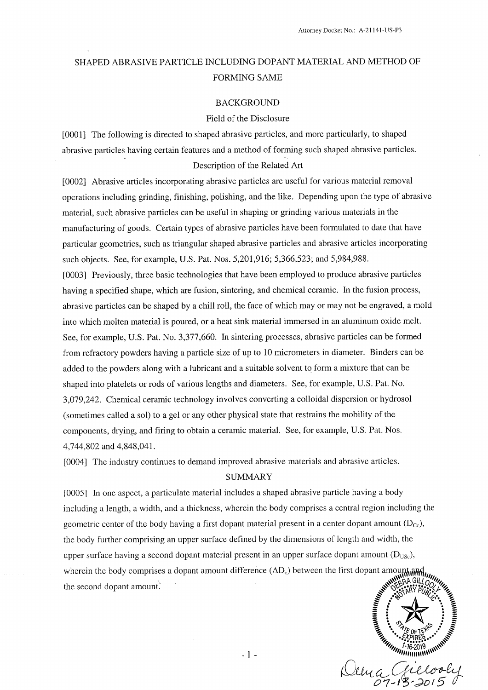## SHAPED ABRASIVE PARTICLE INCLUDING DOPANT MATERIAL AND METHOD OF **FORMING SAME**

#### **BACKGROUND**

#### Field of the Disclosure

[0001] The following is directed to shaped abrasive particles, and more particularly, to shaped abrasive particles having certain features and a method of forming such shaped abrasive particles. Description of the Related Art

[0002] Abrasive articles incorporating abrasive particles are useful for various material removal operations including grinding, finishing, polishing, and the like. Depending upon the type of abrasive material, such abrasive particles can be useful in shaping or grinding various materials in the manufacturing of goods. Certain types of abrasive particles have been formulated to date that have particular geometries, such as triangular shaped abrasive particles and abrasive articles incorporating such objects. See, for example, U.S. Pat. Nos. 5,201,916; 5,366,523; and 5,984,988. [0003] Previously, three basic technologies that have been employed to produce abrasive particles having a specified shape, which are fusion, sintering, and chemical ceramic. In the fusion process, abrasive particles can be shaped by a chill roll, the face of which may or may not be engraved, a mold into which molten material is poured, or a heat sink material immersed in an aluminum oxide melt. See, for example, U.S. Pat. No. 3,377,660. In sintering processes, abrasive particles can be formed from refractory powders having a particle size of up to 10 micrometers in diameter. Binders can be added to the powders along with a lubricant and a suitable solvent to form a mixture that can be shaped into platelets or rods of various lengths and diameters. See, for example, U.S. Pat. No. 3,079,242. Chemical ceramic technology involves converting a colloidal dispersion or hydrosol (sometimes called a sol) to a gel or any other physical state that restrains the mobility of the components, drying, and firing to obtain a ceramic material. See, for example, U.S. Pat. Nos. 4,744,802 and 4,848,041.

[0004] The industry continues to demand improved abrasive materials and abrasive articles.

#### **SUMMARY**

[0005] In one aspect, a particulate material includes a shaped abrasive particle having a body including a length, a width, and a thickness, wherein the body comprises a central region including the geometric center of the body having a first dopant material present in a center dopant amount  $(D_{\rm cc})$ , the body further comprising an upper surface defined by the dimensions of length and width, the upper surface having a second dopant material present in an upper surface dopant amount  $(D_{\text{USC}})$ , wherein the body comprises a dopant amount difference  $(\Delta D_c)$  between the first dopant amount and the second dopant amount.

ACCOR Dema

 $-1-$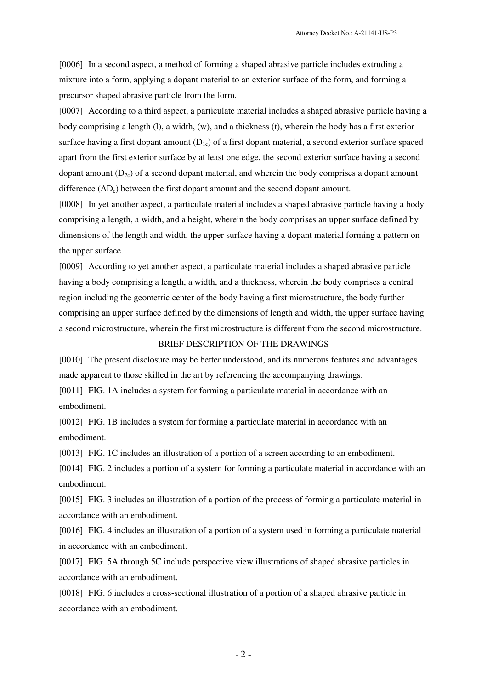Attorney Docket No.: A-21141-US-P3

[0006] In a second aspect, a method of forming a shaped abrasive particle includes extruding a mixture into a form, applying a dopant material to an exterior surface of the form, and forming a precursor shaped abrasive particle from the form.

[0007] According to a third aspect, a particulate material includes a shaped abrasive particle having a body comprising a length (l), a width, (w), and a thickness (t), wherein the body has a first exterior surface having a first dopant amount  $(D_{1c})$  of a first dopant material, a second exterior surface spaced apart from the first exterior surface by at least one edge, the second exterior surface having a second dopant amount  $(D_{2c})$  of a second dopant material, and wherein the body comprises a dopant amount difference  $(\Delta D_c)$  between the first dopant amount and the second dopant amount.

[0008] In yet another aspect, a particulate material includes a shaped abrasive particle having a body comprising a length, a width, and a height, wherein the body comprises an upper surface defined by dimensions of the length and width, the upper surface having a dopant material forming a pattern on the upper surface.

[0009] According to yet another aspect, a particulate material includes a shaped abrasive particle having a body comprising a length, a width, and a thickness, wherein the body comprises a central region including the geometric center of the body having a first microstructure, the body further comprising an upper surface defined by the dimensions of length and width, the upper surface having a second microstructure, wherein the first microstructure is different from the second microstructure.

## BRIEF DESCRIPTION OF THE DRAWINGS

[0010] The present disclosure may be better understood, and its numerous features and advantages made apparent to those skilled in the art by referencing the accompanying drawings.

[0011] FIG. 1A includes a system for forming a particulate material in accordance with an embodiment.

[0012] FIG. 1B includes a system for forming a particulate material in accordance with an embodiment.

[0013] FIG. 1C includes an illustration of a portion of a screen according to an embodiment.

[0014] FIG. 2 includes a portion of a system for forming a particulate material in accordance with an embodiment.

[0015] FIG. 3 includes an illustration of a portion of the process of forming a particulate material in accordance with an embodiment.

[0016] FIG. 4 includes an illustration of a portion of a system used in forming a particulate material in accordance with an embodiment.

[0017] FIG. 5A through 5C include perspective view illustrations of shaped abrasive particles in accordance with an embodiment.

[0018] FIG. 6 includes a cross-sectional illustration of a portion of a shaped abrasive particle in accordance with an embodiment.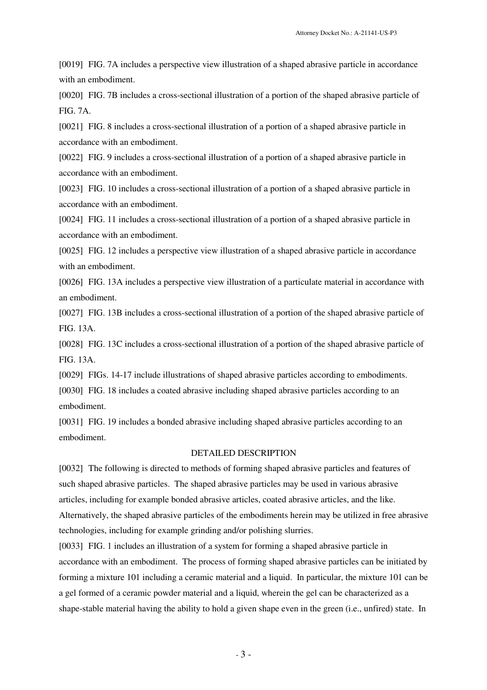[0019] FIG. 7A includes a perspective view illustration of a shaped abrasive particle in accordance with an embodiment.

[0020] FIG. 7B includes a cross-sectional illustration of a portion of the shaped abrasive particle of FIG. 7A.

[0021] FIG. 8 includes a cross-sectional illustration of a portion of a shaped abrasive particle in accordance with an embodiment.

[0022] FIG. 9 includes a cross-sectional illustration of a portion of a shaped abrasive particle in accordance with an embodiment.

[0023] FIG. 10 includes a cross-sectional illustration of a portion of a shaped abrasive particle in accordance with an embodiment.

[0024] FIG. 11 includes a cross-sectional illustration of a portion of a shaped abrasive particle in accordance with an embodiment.

[0025] FIG. 12 includes a perspective view illustration of a shaped abrasive particle in accordance with an embodiment.

[0026] FIG. 13A includes a perspective view illustration of a particulate material in accordance with an embodiment.

[0027] FIG. 13B includes a cross-sectional illustration of a portion of the shaped abrasive particle of FIG. 13A.

[0028] FIG. 13C includes a cross-sectional illustration of a portion of the shaped abrasive particle of FIG. 13A.

[0029] FIGs. 14-17 include illustrations of shaped abrasive particles according to embodiments.

[0030] FIG. 18 includes a coated abrasive including shaped abrasive particles according to an embodiment.

[0031] FIG. 19 includes a bonded abrasive including shaped abrasive particles according to an embodiment.

### DETAILED DESCRIPTION

[0032] The following is directed to methods of forming shaped abrasive particles and features of such shaped abrasive particles. The shaped abrasive particles may be used in various abrasive articles, including for example bonded abrasive articles, coated abrasive articles, and the like. Alternatively, the shaped abrasive particles of the embodiments herein may be utilized in free abrasive technologies, including for example grinding and/or polishing slurries.

[0033] FIG. 1 includes an illustration of a system for forming a shaped abrasive particle in accordance with an embodiment. The process of forming shaped abrasive particles can be initiated by forming a mixture 101 including a ceramic material and a liquid. In particular, the mixture 101 can be a gel formed of a ceramic powder material and a liquid, wherein the gel can be characterized as a shape-stable material having the ability to hold a given shape even in the green (i.e., unfired) state. In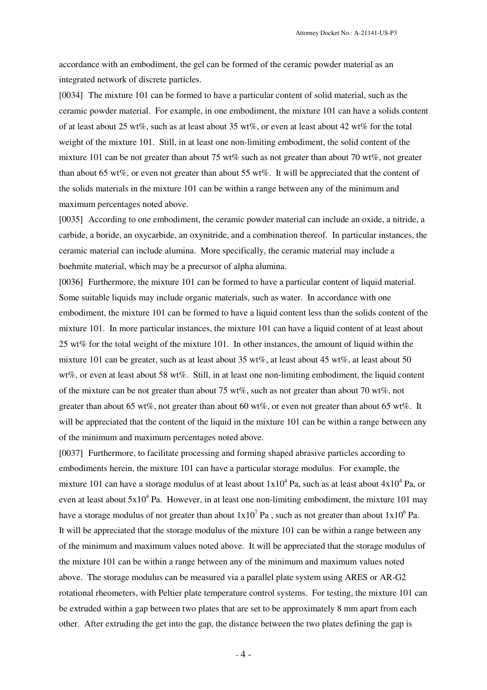accordance with an embodiment, the gel can be formed of the ceramic powder material as an integrated network of discrete particles.

[0034] The mixture 101 can be formed to have a particular content of solid material, such as the ceramic powder material. For example, in one embodiment, the mixture 101 can have a solids content of at least about 25 wt%, such as at least about 35 wt%, or even at least about 42 wt% for the total weight of the mixture 101. Still, in at least one non-limiting embodiment, the solid content of the mixture 101 can be not greater than about 75 wt% such as not greater than about 70 wt%, not greater than about 65 wt%, or even not greater than about 55 wt%. It will be appreciated that the content of the solids materials in the mixture 101 can be within a range between any of the minimum and maximum percentages noted above.

[0035] According to one embodiment, the ceramic powder material can include an oxide, a nitride, a carbide, a boride, an oxycarbide, an oxynitride, and a combination thereof. In particular instances, the ceramic material can include alumina. More specifically, the ceramic material may include a boehmite material, which may be a precursor of alpha alumina.

[0036] Furthermore, the mixture 101 can be formed to have a particular content of liquid material. Some suitable liquids may include organic materials, such as water. In accordance with one embodiment, the mixture 101 can be formed to have a liquid content less than the solids content of the mixture 101. In more particular instances, the mixture 101 can have a liquid content of at least about 25 wt% for the total weight of the mixture 101. In other instances, the amount of liquid within the mixture 101 can be greater, such as at least about 35 wt%, at least about 45 wt%, at least about 50 wt%, or even at least about 58 wt%. Still, in at least one non-limiting embodiment, the liquid content of the mixture can be not greater than about 75 wt%, such as not greater than about 70 wt%, not greater than about 65 wt%, not greater than about 60 wt%, or even not greater than about 65 wt%. It will be appreciated that the content of the liquid in the mixture 101 can be within a range between any of the minimum and maximum percentages noted above.

[0037] Furthermore, to facilitate processing and forming shaped abrasive particles according to embodiments herein, the mixture 101 can have a particular storage modulus. For example, the mixture 101 can have a storage modulus of at least about  $1x10^4$  Pa, such as at least about  $4x10^4$  Pa, or even at least about  $5x10^4$  Pa. However, in at least one non-limiting embodiment, the mixture 101 may have a storage modulus of not greater than about  $1x10^7$  Pa , such as not greater than about  $1x10^6$  Pa. It will be appreciated that the storage modulus of the mixture 101 can be within a range between any of the minimum and maximum values noted above. It will be appreciated that the storage modulus of the mixture 101 can be within a range between any of the minimum and maximum values noted above. The storage modulus can be measured via a parallel plate system using ARES or AR-G2 rotational rheometers, with Peltier plate temperature control systems. For testing, the mixture 101 can be extruded within a gap between two plates that are set to be approximately 8 mm apart from each other. After extruding the get into the gap, the distance between the two plates defining the gap is

 $-4 -$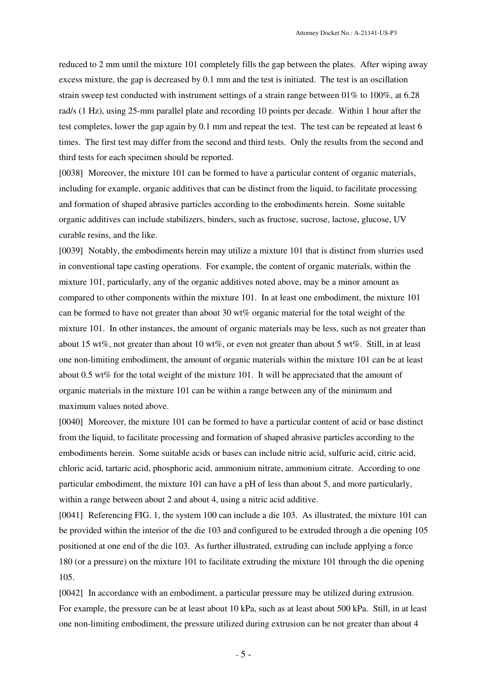reduced to 2 mm until the mixture 101 completely fills the gap between the plates. After wiping away excess mixture, the gap is decreased by 0.1 mm and the test is initiated. The test is an oscillation strain sweep test conducted with instrument settings of a strain range between 01% to 100%, at 6.28 rad/s (1 Hz), using 25-mm parallel plate and recording 10 points per decade. Within 1 hour after the test completes, lower the gap again by 0.1 mm and repeat the test. The test can be repeated at least 6 times. The first test may differ from the second and third tests. Only the results from the second and third tests for each specimen should be reported.

[0038] Moreover, the mixture 101 can be formed to have a particular content of organic materials, including for example, organic additives that can be distinct from the liquid, to facilitate processing and formation of shaped abrasive particles according to the embodiments herein. Some suitable organic additives can include stabilizers, binders, such as fructose, sucrose, lactose, glucose, UV curable resins, and the like.

[0039] Notably, the embodiments herein may utilize a mixture 101 that is distinct from slurries used in conventional tape casting operations. For example, the content of organic materials, within the mixture 101, particularly, any of the organic additives noted above, may be a minor amount as compared to other components within the mixture 101. In at least one embodiment, the mixture 101 can be formed to have not greater than about 30 wt% organic material for the total weight of the mixture 101. In other instances, the amount of organic materials may be less, such as not greater than about 15 wt%, not greater than about 10 wt%, or even not greater than about 5 wt%. Still, in at least one non-limiting embodiment, the amount of organic materials within the mixture 101 can be at least about 0.5 wt% for the total weight of the mixture 101. It will be appreciated that the amount of organic materials in the mixture 101 can be within a range between any of the minimum and maximum values noted above.

[0040] Moreover, the mixture 101 can be formed to have a particular content of acid or base distinct from the liquid, to facilitate processing and formation of shaped abrasive particles according to the embodiments herein. Some suitable acids or bases can include nitric acid, sulfuric acid, citric acid, chloric acid, tartaric acid, phosphoric acid, ammonium nitrate, ammonium citrate. According to one particular embodiment, the mixture 101 can have a pH of less than about 5, and more particularly, within a range between about 2 and about 4, using a nitric acid additive.

[0041] Referencing FIG. 1, the system 100 can include a die 103. As illustrated, the mixture 101 can be provided within the interior of the die 103 and configured to be extruded through a die opening 105 positioned at one end of the die 103. As further illustrated, extruding can include applying a force 180 (or a pressure) on the mixture 101 to facilitate extruding the mixture 101 through the die opening 105.

[0042] In accordance with an embodiment, a particular pressure may be utilized during extrusion. For example, the pressure can be at least about 10 kPa, such as at least about 500 kPa. Still, in at least one non-limiting embodiment, the pressure utilized during extrusion can be not greater than about 4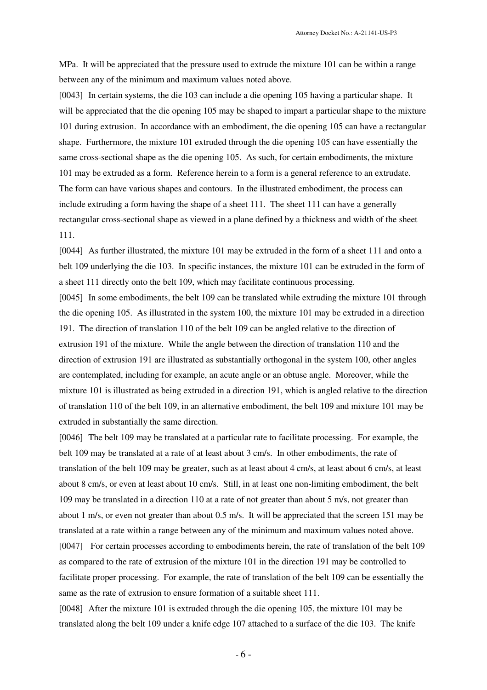MPa. It will be appreciated that the pressure used to extrude the mixture 101 can be within a range between any of the minimum and maximum values noted above.

[0043] In certain systems, the die 103 can include a die opening 105 having a particular shape. It will be appreciated that the die opening 105 may be shaped to impart a particular shape to the mixture 101 during extrusion. In accordance with an embodiment, the die opening 105 can have a rectangular shape. Furthermore, the mixture 101 extruded through the die opening 105 can have essentially the same cross-sectional shape as the die opening 105. As such, for certain embodiments, the mixture 101 may be extruded as a form. Reference herein to a form is a general reference to an extrudate. The form can have various shapes and contours. In the illustrated embodiment, the process can include extruding a form having the shape of a sheet 111. The sheet 111 can have a generally rectangular cross-sectional shape as viewed in a plane defined by a thickness and width of the sheet 111.

[0044] As further illustrated, the mixture 101 may be extruded in the form of a sheet 111 and onto a belt 109 underlying the die 103. In specific instances, the mixture 101 can be extruded in the form of a sheet 111 directly onto the belt 109, which may facilitate continuous processing.

[0045] In some embodiments, the belt 109 can be translated while extruding the mixture 101 through the die opening 105. As illustrated in the system 100, the mixture 101 may be extruded in a direction 191. The direction of translation 110 of the belt 109 can be angled relative to the direction of extrusion 191 of the mixture. While the angle between the direction of translation 110 and the direction of extrusion 191 are illustrated as substantially orthogonal in the system 100, other angles are contemplated, including for example, an acute angle or an obtuse angle. Moreover, while the mixture 101 is illustrated as being extruded in a direction 191, which is angled relative to the direction of translation 110 of the belt 109, in an alternative embodiment, the belt 109 and mixture 101 may be extruded in substantially the same direction.

[0046] The belt 109 may be translated at a particular rate to facilitate processing. For example, the belt 109 may be translated at a rate of at least about 3 cm/s. In other embodiments, the rate of translation of the belt 109 may be greater, such as at least about 4 cm/s, at least about 6 cm/s, at least about 8 cm/s, or even at least about 10 cm/s. Still, in at least one non-limiting embodiment, the belt 109 may be translated in a direction 110 at a rate of not greater than about 5 m/s, not greater than about 1 m/s, or even not greater than about 0.5 m/s. It will be appreciated that the screen 151 may be translated at a rate within a range between any of the minimum and maximum values noted above. [0047] For certain processes according to embodiments herein, the rate of translation of the belt 109 as compared to the rate of extrusion of the mixture 101 in the direction 191 may be controlled to facilitate proper processing. For example, the rate of translation of the belt 109 can be essentially the same as the rate of extrusion to ensure formation of a suitable sheet 111.

[0048] After the mixture 101 is extruded through the die opening 105, the mixture 101 may be translated along the belt 109 under a knife edge 107 attached to a surface of the die 103. The knife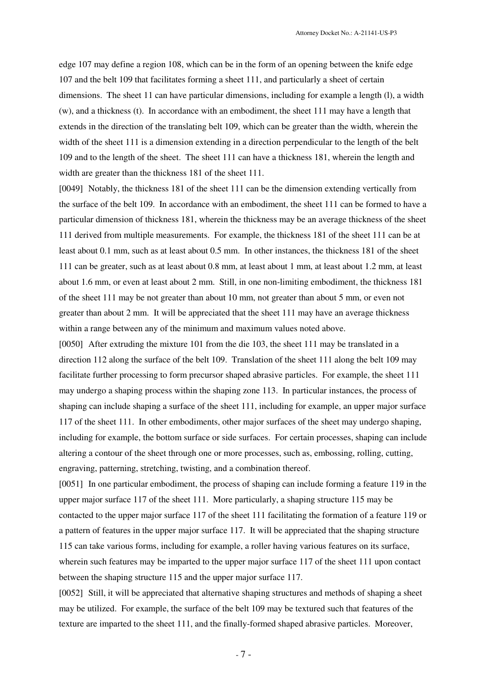edge 107 may define a region 108, which can be in the form of an opening between the knife edge 107 and the belt 109 that facilitates forming a sheet 111, and particularly a sheet of certain dimensions. The sheet 11 can have particular dimensions, including for example a length (1), a width (w), and a thickness (t). In accordance with an embodiment, the sheet 111 may have a length that extends in the direction of the translating belt 109, which can be greater than the width, wherein the width of the sheet 111 is a dimension extending in a direction perpendicular to the length of the belt 109 and to the length of the sheet. The sheet 111 can have a thickness 181, wherein the length and width are greater than the thickness 181 of the sheet 111.

[0049] Notably, the thickness 181 of the sheet 111 can be the dimension extending vertically from the surface of the belt 109. In accordance with an embodiment, the sheet 111 can be formed to have a particular dimension of thickness 181, wherein the thickness may be an average thickness of the sheet 111 derived from multiple measurements. For example, the thickness 181 of the sheet 111 can be at least about 0.1 mm, such as at least about 0.5 mm. In other instances, the thickness 181 of the sheet 111 can be greater, such as at least about 0.8 mm, at least about 1 mm, at least about 1.2 mm, at least about 1.6 mm, or even at least about 2 mm. Still, in one non-limiting embodiment, the thickness 181 of the sheet 111 may be not greater than about 10 mm, not greater than about 5 mm, or even not greater than about 2 mm. It will be appreciated that the sheet 111 may have an average thickness within a range between any of the minimum and maximum values noted above.

[0050] After extruding the mixture 101 from the die 103, the sheet 111 may be translated in a direction 112 along the surface of the belt 109. Translation of the sheet 111 along the belt 109 may facilitate further processing to form precursor shaped abrasive particles. For example, the sheet 111 may undergo a shaping process within the shaping zone 113. In particular instances, the process of shaping can include shaping a surface of the sheet 111, including for example, an upper major surface 117 of the sheet 111. In other embodiments, other major surfaces of the sheet may undergo shaping, including for example, the bottom surface or side surfaces. For certain processes, shaping can include altering a contour of the sheet through one or more processes, such as, embossing, rolling, cutting, engraving, patterning, stretching, twisting, and a combination thereof.

[0051] In one particular embodiment, the process of shaping can include forming a feature 119 in the upper major surface 117 of the sheet 111. More particularly, a shaping structure 115 may be contacted to the upper major surface 117 of the sheet 111 facilitating the formation of a feature 119 or a pattern of features in the upper major surface 117. It will be appreciated that the shaping structure 115 can take various forms, including for example, a roller having various features on its surface, wherein such features may be imparted to the upper major surface 117 of the sheet 111 upon contact between the shaping structure 115 and the upper major surface 117.

[0052] Still, it will be appreciated that alternative shaping structures and methods of shaping a sheet may be utilized. For example, the surface of the belt 109 may be textured such that features of the texture are imparted to the sheet 111, and the finally-formed shaped abrasive particles. Moreover,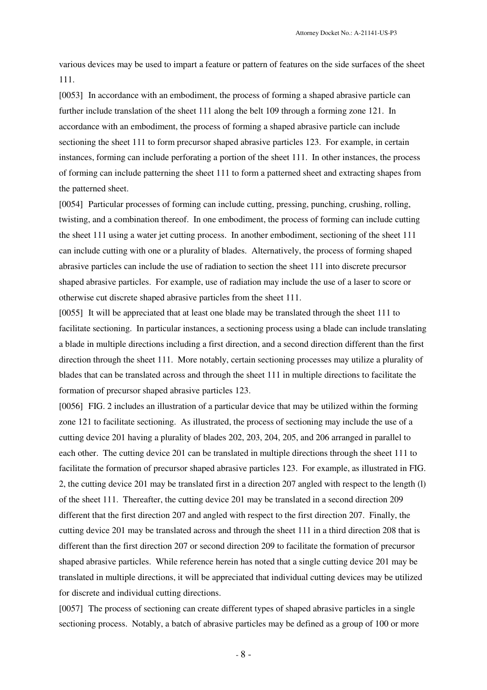various devices may be used to impart a feature or pattern of features on the side surfaces of the sheet 111.

[0053] In accordance with an embodiment, the process of forming a shaped abrasive particle can further include translation of the sheet 111 along the belt 109 through a forming zone 121. In accordance with an embodiment, the process of forming a shaped abrasive particle can include sectioning the sheet 111 to form precursor shaped abrasive particles 123. For example, in certain instances, forming can include perforating a portion of the sheet 111. In other instances, the process of forming can include patterning the sheet 111 to form a patterned sheet and extracting shapes from the patterned sheet.

[0054] Particular processes of forming can include cutting, pressing, punching, crushing, rolling, twisting, and a combination thereof. In one embodiment, the process of forming can include cutting the sheet 111 using a water jet cutting process. In another embodiment, sectioning of the sheet 111 can include cutting with one or a plurality of blades. Alternatively, the process of forming shaped abrasive particles can include the use of radiation to section the sheet 111 into discrete precursor shaped abrasive particles. For example, use of radiation may include the use of a laser to score or otherwise cut discrete shaped abrasive particles from the sheet 111.

[0055] It will be appreciated that at least one blade may be translated through the sheet 111 to facilitate sectioning. In particular instances, a sectioning process using a blade can include translating a blade in multiple directions including a first direction, and a second direction different than the first direction through the sheet 111. More notably, certain sectioning processes may utilize a plurality of blades that can be translated across and through the sheet 111 in multiple directions to facilitate the formation of precursor shaped abrasive particles 123.

[0056] FIG. 2 includes an illustration of a particular device that may be utilized within the forming zone 121 to facilitate sectioning. As illustrated, the process of sectioning may include the use of a cutting device 201 having a plurality of blades 202, 203, 204, 205, and 206 arranged in parallel to each other. The cutting device 201 can be translated in multiple directions through the sheet 111 to facilitate the formation of precursor shaped abrasive particles 123. For example, as illustrated in FIG. 2, the cutting device 201 may be translated first in a direction 207 angled with respect to the length (l) of the sheet 111. Thereafter, the cutting device 201 may be translated in a second direction 209 different that the first direction 207 and angled with respect to the first direction 207. Finally, the cutting device 201 may be translated across and through the sheet 111 in a third direction 208 that is different than the first direction 207 or second direction 209 to facilitate the formation of precursor shaped abrasive particles. While reference herein has noted that a single cutting device 201 may be translated in multiple directions, it will be appreciated that individual cutting devices may be utilized for discrete and individual cutting directions.

[0057] The process of sectioning can create different types of shaped abrasive particles in a single sectioning process. Notably, a batch of abrasive particles may be defined as a group of 100 or more

- 8 -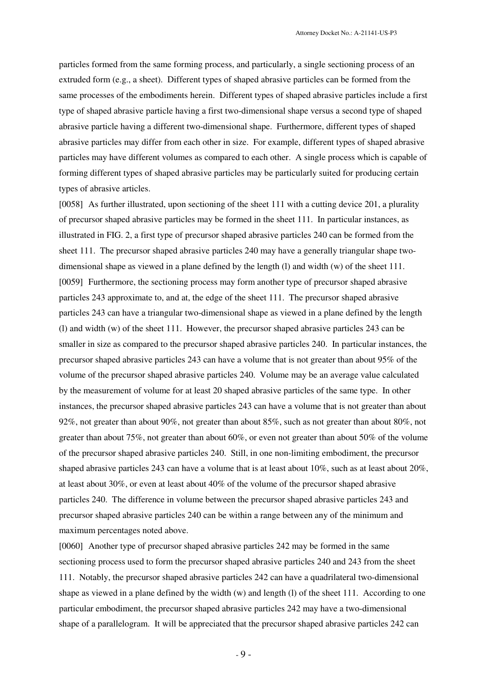particles formed from the same forming process, and particularly, a single sectioning process of an extruded form (e.g., a sheet). Different types of shaped abrasive particles can be formed from the same processes of the embodiments herein. Different types of shaped abrasive particles include a first type of shaped abrasive particle having a first two-dimensional shape versus a second type of shaped abrasive particle having a different two-dimensional shape. Furthermore, different types of shaped abrasive particles may differ from each other in size. For example, different types of shaped abrasive particles may have different volumes as compared to each other. A single process which is capable of forming different types of shaped abrasive particles may be particularly suited for producing certain types of abrasive articles.

[0058] As further illustrated, upon sectioning of the sheet 111 with a cutting device 201, a plurality of precursor shaped abrasive particles may be formed in the sheet 111. In particular instances, as illustrated in FIG. 2, a first type of precursor shaped abrasive particles 240 can be formed from the sheet 111. The precursor shaped abrasive particles 240 may have a generally triangular shape twodimensional shape as viewed in a plane defined by the length (l) and width (w) of the sheet 111. [0059] Furthermore, the sectioning process may form another type of precursor shaped abrasive particles 243 approximate to, and at, the edge of the sheet 111. The precursor shaped abrasive particles 243 can have a triangular two-dimensional shape as viewed in a plane defined by the length (l) and width (w) of the sheet 111. However, the precursor shaped abrasive particles 243 can be smaller in size as compared to the precursor shaped abrasive particles 240. In particular instances, the precursor shaped abrasive particles 243 can have a volume that is not greater than about 95% of the volume of the precursor shaped abrasive particles 240. Volume may be an average value calculated by the measurement of volume for at least 20 shaped abrasive particles of the same type. In other instances, the precursor shaped abrasive particles 243 can have a volume that is not greater than about 92%, not greater than about 90%, not greater than about 85%, such as not greater than about 80%, not greater than about 75%, not greater than about 60%, or even not greater than about 50% of the volume of the precursor shaped abrasive particles 240. Still, in one non-limiting embodiment, the precursor shaped abrasive particles 243 can have a volume that is at least about 10%, such as at least about 20%, at least about 30%, or even at least about 40% of the volume of the precursor shaped abrasive particles 240. The difference in volume between the precursor shaped abrasive particles 243 and precursor shaped abrasive particles 240 can be within a range between any of the minimum and maximum percentages noted above.

[0060] Another type of precursor shaped abrasive particles 242 may be formed in the same sectioning process used to form the precursor shaped abrasive particles 240 and 243 from the sheet 111. Notably, the precursor shaped abrasive particles 242 can have a quadrilateral two-dimensional shape as viewed in a plane defined by the width (w) and length (l) of the sheet 111. According to one particular embodiment, the precursor shaped abrasive particles 242 may have a two-dimensional shape of a parallelogram. It will be appreciated that the precursor shaped abrasive particles 242 can

- 9 -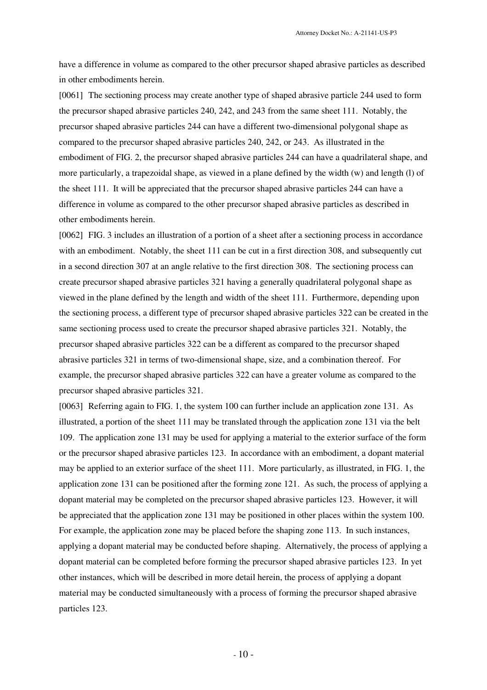have a difference in volume as compared to the other precursor shaped abrasive particles as described in other embodiments herein.

[0061] The sectioning process may create another type of shaped abrasive particle 244 used to form the precursor shaped abrasive particles 240, 242, and 243 from the same sheet 111. Notably, the precursor shaped abrasive particles 244 can have a different two-dimensional polygonal shape as compared to the precursor shaped abrasive particles 240, 242, or 243. As illustrated in the embodiment of FIG. 2, the precursor shaped abrasive particles 244 can have a quadrilateral shape, and more particularly, a trapezoidal shape, as viewed in a plane defined by the width (w) and length (l) of the sheet 111. It will be appreciated that the precursor shaped abrasive particles 244 can have a difference in volume as compared to the other precursor shaped abrasive particles as described in other embodiments herein.

[0062] FIG. 3 includes an illustration of a portion of a sheet after a sectioning process in accordance with an embodiment. Notably, the sheet 111 can be cut in a first direction 308, and subsequently cut in a second direction 307 at an angle relative to the first direction 308. The sectioning process can create precursor shaped abrasive particles 321 having a generally quadrilateral polygonal shape as viewed in the plane defined by the length and width of the sheet 111. Furthermore, depending upon the sectioning process, a different type of precursor shaped abrasive particles 322 can be created in the same sectioning process used to create the precursor shaped abrasive particles 321. Notably, the precursor shaped abrasive particles 322 can be a different as compared to the precursor shaped abrasive particles 321 in terms of two-dimensional shape, size, and a combination thereof. For example, the precursor shaped abrasive particles 322 can have a greater volume as compared to the precursor shaped abrasive particles 321.

[0063] Referring again to FIG. 1, the system 100 can further include an application zone 131. As illustrated, a portion of the sheet 111 may be translated through the application zone 131 via the belt 109. The application zone 131 may be used for applying a material to the exterior surface of the form or the precursor shaped abrasive particles 123. In accordance with an embodiment, a dopant material may be applied to an exterior surface of the sheet 111. More particularly, as illustrated, in FIG. 1, the application zone 131 can be positioned after the forming zone 121. As such, the process of applying a dopant material may be completed on the precursor shaped abrasive particles 123. However, it will be appreciated that the application zone 131 may be positioned in other places within the system 100. For example, the application zone may be placed before the shaping zone 113. In such instances, applying a dopant material may be conducted before shaping. Alternatively, the process of applying a dopant material can be completed before forming the precursor shaped abrasive particles 123. In yet other instances, which will be described in more detail herein, the process of applying a dopant material may be conducted simultaneously with a process of forming the precursor shaped abrasive particles 123.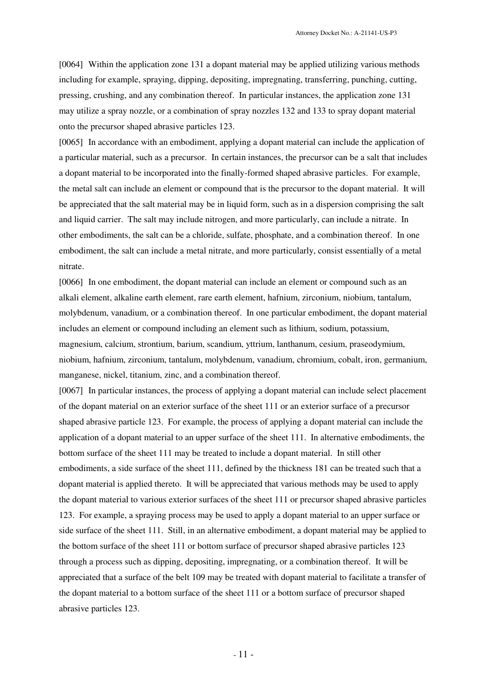[0064] Within the application zone 131 a dopant material may be applied utilizing various methods including for example, spraying, dipping, depositing, impregnating, transferring, punching, cutting, pressing, crushing, and any combination thereof. In particular instances, the application zone 131 may utilize a spray nozzle, or a combination of spray nozzles 132 and 133 to spray dopant material onto the precursor shaped abrasive particles 123.

[0065] In accordance with an embodiment, applying a dopant material can include the application of a particular material, such as a precursor. In certain instances, the precursor can be a salt that includes a dopant material to be incorporated into the finally-formed shaped abrasive particles. For example, the metal salt can include an element or compound that is the precursor to the dopant material. It will be appreciated that the salt material may be in liquid form, such as in a dispersion comprising the salt and liquid carrier. The salt may include nitrogen, and more particularly, can include a nitrate. In other embodiments, the salt can be a chloride, sulfate, phosphate, and a combination thereof. In one embodiment, the salt can include a metal nitrate, and more particularly, consist essentially of a metal nitrate.

[0066] In one embodiment, the dopant material can include an element or compound such as an alkali element, alkaline earth element, rare earth element, hafnium, zirconium, niobium, tantalum, molybdenum, vanadium, or a combination thereof. In one particular embodiment, the dopant material includes an element or compound including an element such as lithium, sodium, potassium, magnesium, calcium, strontium, barium, scandium, yttrium, lanthanum, cesium, praseodymium, niobium, hafnium, zirconium, tantalum, molybdenum, vanadium, chromium, cobalt, iron, germanium, manganese, nickel, titanium, zinc, and a combination thereof.

[0067] In particular instances, the process of applying a dopant material can include select placement of the dopant material on an exterior surface of the sheet 111 or an exterior surface of a precursor shaped abrasive particle 123. For example, the process of applying a dopant material can include the application of a dopant material to an upper surface of the sheet 111. In alternative embodiments, the bottom surface of the sheet 111 may be treated to include a dopant material. In still other embodiments, a side surface of the sheet 111, defined by the thickness 181 can be treated such that a dopant material is applied thereto. It will be appreciated that various methods may be used to apply the dopant material to various exterior surfaces of the sheet 111 or precursor shaped abrasive particles 123. For example, a spraying process may be used to apply a dopant material to an upper surface or side surface of the sheet 111. Still, in an alternative embodiment, a dopant material may be applied to the bottom surface of the sheet 111 or bottom surface of precursor shaped abrasive particles 123 through a process such as dipping, depositing, impregnating, or a combination thereof. It will be appreciated that a surface of the belt 109 may be treated with dopant material to facilitate a transfer of the dopant material to a bottom surface of the sheet 111 or a bottom surface of precursor shaped abrasive particles 123.

- 11 -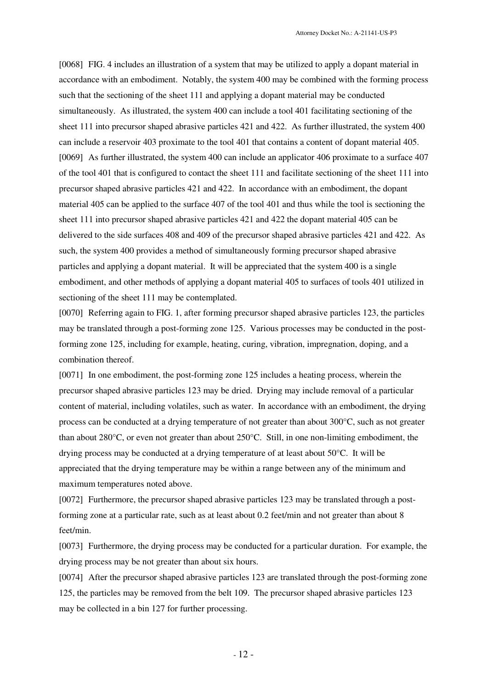[0068] FIG. 4 includes an illustration of a system that may be utilized to apply a dopant material in accordance with an embodiment. Notably, the system 400 may be combined with the forming process such that the sectioning of the sheet 111 and applying a dopant material may be conducted simultaneously. As illustrated, the system 400 can include a tool 401 facilitating sectioning of the sheet 111 into precursor shaped abrasive particles 421 and 422. As further illustrated, the system 400 can include a reservoir 403 proximate to the tool 401 that contains a content of dopant material 405. [0069] As further illustrated, the system 400 can include an applicator 406 proximate to a surface 407 of the tool 401 that is configured to contact the sheet 111 and facilitate sectioning of the sheet 111 into precursor shaped abrasive particles 421 and 422. In accordance with an embodiment, the dopant material 405 can be applied to the surface 407 of the tool 401 and thus while the tool is sectioning the sheet 111 into precursor shaped abrasive particles 421 and 422 the dopant material 405 can be delivered to the side surfaces 408 and 409 of the precursor shaped abrasive particles 421 and 422. As such, the system 400 provides a method of simultaneously forming precursor shaped abrasive particles and applying a dopant material. It will be appreciated that the system 400 is a single embodiment, and other methods of applying a dopant material 405 to surfaces of tools 401 utilized in sectioning of the sheet 111 may be contemplated.

[0070] Referring again to FIG. 1, after forming precursor shaped abrasive particles 123, the particles may be translated through a post-forming zone 125. Various processes may be conducted in the postforming zone 125, including for example, heating, curing, vibration, impregnation, doping, and a combination thereof.

[0071] In one embodiment, the post-forming zone 125 includes a heating process, wherein the precursor shaped abrasive particles 123 may be dried. Drying may include removal of a particular content of material, including volatiles, such as water. In accordance with an embodiment, the drying process can be conducted at a drying temperature of not greater than about 300°C, such as not greater than about 280°C, or even not greater than about 250°C. Still, in one non-limiting embodiment, the drying process may be conducted at a drying temperature of at least about 50°C. It will be appreciated that the drying temperature may be within a range between any of the minimum and maximum temperatures noted above.

[0072] Furthermore, the precursor shaped abrasive particles 123 may be translated through a postforming zone at a particular rate, such as at least about 0.2 feet/min and not greater than about 8 feet/min.

[0073] Furthermore, the drying process may be conducted for a particular duration. For example, the drying process may be not greater than about six hours.

[0074] After the precursor shaped abrasive particles 123 are translated through the post-forming zone 125, the particles may be removed from the belt 109. The precursor shaped abrasive particles 123 may be collected in a bin 127 for further processing.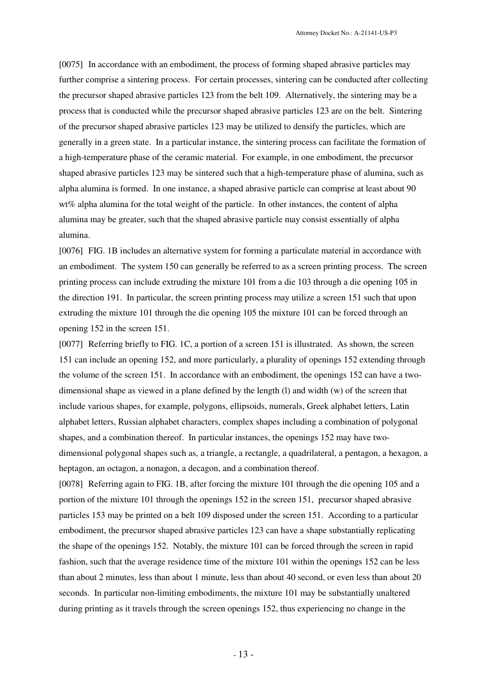[0075] In accordance with an embodiment, the process of forming shaped abrasive particles may further comprise a sintering process. For certain processes, sintering can be conducted after collecting the precursor shaped abrasive particles 123 from the belt 109. Alternatively, the sintering may be a process that is conducted while the precursor shaped abrasive particles 123 are on the belt. Sintering of the precursor shaped abrasive particles 123 may be utilized to densify the particles, which are generally in a green state. In a particular instance, the sintering process can facilitate the formation of a high-temperature phase of the ceramic material. For example, in one embodiment, the precursor shaped abrasive particles 123 may be sintered such that a high-temperature phase of alumina, such as alpha alumina is formed. In one instance, a shaped abrasive particle can comprise at least about 90 wt% alpha alumina for the total weight of the particle. In other instances, the content of alpha alumina may be greater, such that the shaped abrasive particle may consist essentially of alpha alumina.

[0076] FIG. 1B includes an alternative system for forming a particulate material in accordance with an embodiment. The system 150 can generally be referred to as a screen printing process. The screen printing process can include extruding the mixture 101 from a die 103 through a die opening 105 in the direction 191. In particular, the screen printing process may utilize a screen 151 such that upon extruding the mixture 101 through the die opening 105 the mixture 101 can be forced through an opening 152 in the screen 151.

[0077] Referring briefly to FIG. 1C, a portion of a screen 151 is illustrated. As shown, the screen 151 can include an opening 152, and more particularly, a plurality of openings 152 extending through the volume of the screen 151. In accordance with an embodiment, the openings 152 can have a twodimensional shape as viewed in a plane defined by the length (l) and width (w) of the screen that include various shapes, for example, polygons, ellipsoids, numerals, Greek alphabet letters, Latin alphabet letters, Russian alphabet characters, complex shapes including a combination of polygonal shapes, and a combination thereof. In particular instances, the openings 152 may have twodimensional polygonal shapes such as, a triangle, a rectangle, a quadrilateral, a pentagon, a hexagon, a heptagon, an octagon, a nonagon, a decagon, and a combination thereof.

[0078] Referring again to FIG. 1B, after forcing the mixture 101 through the die opening 105 and a portion of the mixture 101 through the openings 152 in the screen 151, precursor shaped abrasive particles 153 may be printed on a belt 109 disposed under the screen 151. According to a particular embodiment, the precursor shaped abrasive particles 123 can have a shape substantially replicating the shape of the openings 152. Notably, the mixture 101 can be forced through the screen in rapid fashion, such that the average residence time of the mixture 101 within the openings 152 can be less than about 2 minutes, less than about 1 minute, less than about 40 second, or even less than about 20 seconds. In particular non-limiting embodiments, the mixture 101 may be substantially unaltered during printing as it travels through the screen openings 152, thus experiencing no change in the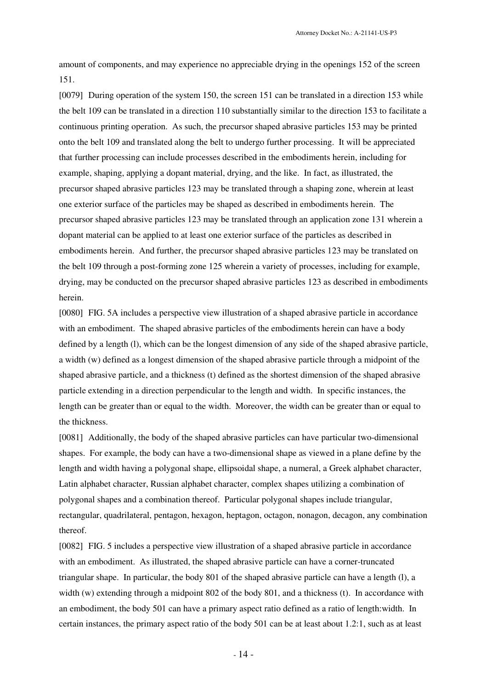Attorney Docket No.: A-21141-US-P3

amount of components, and may experience no appreciable drying in the openings 152 of the screen 151.

[0079] During operation of the system 150, the screen 151 can be translated in a direction 153 while the belt 109 can be translated in a direction 110 substantially similar to the direction 153 to facilitate a continuous printing operation. As such, the precursor shaped abrasive particles 153 may be printed onto the belt 109 and translated along the belt to undergo further processing. It will be appreciated that further processing can include processes described in the embodiments herein, including for example, shaping, applying a dopant material, drying, and the like. In fact, as illustrated, the precursor shaped abrasive particles 123 may be translated through a shaping zone, wherein at least one exterior surface of the particles may be shaped as described in embodiments herein. The precursor shaped abrasive particles 123 may be translated through an application zone 131 wherein a dopant material can be applied to at least one exterior surface of the particles as described in embodiments herein. And further, the precursor shaped abrasive particles 123 may be translated on the belt 109 through a post-forming zone 125 wherein a variety of processes, including for example, drying, may be conducted on the precursor shaped abrasive particles 123 as described in embodiments herein.

[0080] FIG. 5A includes a perspective view illustration of a shaped abrasive particle in accordance with an embodiment. The shaped abrasive particles of the embodiments herein can have a body defined by a length (l), which can be the longest dimension of any side of the shaped abrasive particle, a width (w) defined as a longest dimension of the shaped abrasive particle through a midpoint of the shaped abrasive particle, and a thickness (t) defined as the shortest dimension of the shaped abrasive particle extending in a direction perpendicular to the length and width. In specific instances, the length can be greater than or equal to the width. Moreover, the width can be greater than or equal to the thickness.

[0081] Additionally, the body of the shaped abrasive particles can have particular two-dimensional shapes. For example, the body can have a two-dimensional shape as viewed in a plane define by the length and width having a polygonal shape, ellipsoidal shape, a numeral, a Greek alphabet character, Latin alphabet character, Russian alphabet character, complex shapes utilizing a combination of polygonal shapes and a combination thereof. Particular polygonal shapes include triangular, rectangular, quadrilateral, pentagon, hexagon, heptagon, octagon, nonagon, decagon, any combination thereof.

[0082] FIG. 5 includes a perspective view illustration of a shaped abrasive particle in accordance with an embodiment. As illustrated, the shaped abrasive particle can have a corner-truncated triangular shape. In particular, the body 801 of the shaped abrasive particle can have a length (l), a width (w) extending through a midpoint 802 of the body 801, and a thickness (t). In accordance with an embodiment, the body 501 can have a primary aspect ratio defined as a ratio of length:width. In certain instances, the primary aspect ratio of the body 501 can be at least about 1.2:1, such as at least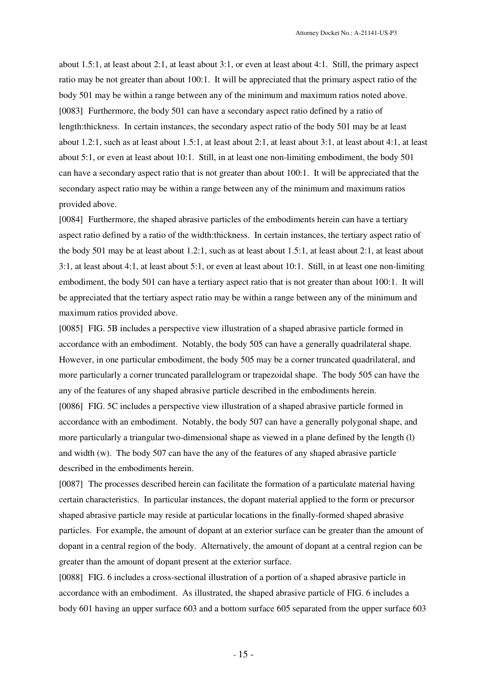about 1.5:1, at least about 2:1, at least about 3:1, or even at least about 4:1. Still, the primary aspect ratio may be not greater than about 100:1. It will be appreciated that the primary aspect ratio of the body 501 may be within a range between any of the minimum and maximum ratios noted above. [0083] Furthermore, the body 501 can have a secondary aspect ratio defined by a ratio of length:thickness. In certain instances, the secondary aspect ratio of the body 501 may be at least about 1.2:1, such as at least about 1.5:1, at least about 2:1, at least about 3:1, at least about 4:1, at least about 5:1, or even at least about 10:1. Still, in at least one non-limiting embodiment, the body 501 can have a secondary aspect ratio that is not greater than about 100:1. It will be appreciated that the secondary aspect ratio may be within a range between any of the minimum and maximum ratios provided above.

[0084] Furthermore, the shaped abrasive particles of the embodiments herein can have a tertiary aspect ratio defined by a ratio of the width:thickness. In certain instances, the tertiary aspect ratio of the body 501 may be at least about 1.2:1, such as at least about 1.5:1, at least about 2:1, at least about 3:1, at least about 4:1, at least about 5:1, or even at least about 10:1. Still, in at least one non-limiting embodiment, the body 501 can have a tertiary aspect ratio that is not greater than about 100:1. It will be appreciated that the tertiary aspect ratio may be within a range between any of the minimum and maximum ratios provided above.

[0085] FIG. 5B includes a perspective view illustration of a shaped abrasive particle formed in accordance with an embodiment. Notably, the body 505 can have a generally quadrilateral shape. However, in one particular embodiment, the body 505 may be a corner truncated quadrilateral, and more particularly a corner truncated parallelogram or trapezoidal shape. The body 505 can have the any of the features of any shaped abrasive particle described in the embodiments herein. [0086] FIG. 5C includes a perspective view illustration of a shaped abrasive particle formed in accordance with an embodiment. Notably, the body 507 can have a generally polygonal shape, and more particularly a triangular two-dimensional shape as viewed in a plane defined by the length (l) and width (w). The body 507 can have the any of the features of any shaped abrasive particle described in the embodiments herein.

[0087] The processes described herein can facilitate the formation of a particulate material having certain characteristics. In particular instances, the dopant material applied to the form or precursor shaped abrasive particle may reside at particular locations in the finally-formed shaped abrasive particles. For example, the amount of dopant at an exterior surface can be greater than the amount of dopant in a central region of the body. Alternatively, the amount of dopant at a central region can be greater than the amount of dopant present at the exterior surface.

[0088] FIG. 6 includes a cross-sectional illustration of a portion of a shaped abrasive particle in accordance with an embodiment. As illustrated, the shaped abrasive particle of FIG. 6 includes a body 601 having an upper surface 603 and a bottom surface 605 separated from the upper surface 603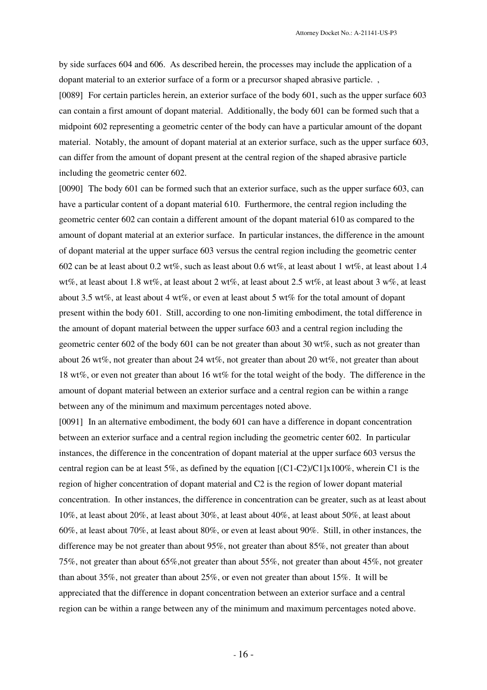by side surfaces 604 and 606. As described herein, the processes may include the application of a dopant material to an exterior surface of a form or a precursor shaped abrasive particle. , [0089] For certain particles herein, an exterior surface of the body 601, such as the upper surface 603 can contain a first amount of dopant material. Additionally, the body 601 can be formed such that a midpoint 602 representing a geometric center of the body can have a particular amount of the dopant material. Notably, the amount of dopant material at an exterior surface, such as the upper surface 603, can differ from the amount of dopant present at the central region of the shaped abrasive particle including the geometric center 602.

[0090] The body 601 can be formed such that an exterior surface, such as the upper surface 603, can have a particular content of a dopant material 610. Furthermore, the central region including the geometric center 602 can contain a different amount of the dopant material 610 as compared to the amount of dopant material at an exterior surface. In particular instances, the difference in the amount of dopant material at the upper surface 603 versus the central region including the geometric center 602 can be at least about 0.2 wt%, such as least about 0.6 wt%, at least about 1 wt%, at least about 1.4 wt%, at least about 1.8 wt%, at least about 2 wt%, at least about 2.5 wt%, at least about 3 w%, at least about 3.5 wt%, at least about 4 wt%, or even at least about 5 wt% for the total amount of dopant present within the body 601. Still, according to one non-limiting embodiment, the total difference in the amount of dopant material between the upper surface 603 and a central region including the geometric center 602 of the body 601 can be not greater than about 30 wt%, such as not greater than about 26 wt%, not greater than about 24 wt%, not greater than about 20 wt%, not greater than about 18 wt%, or even not greater than about 16 wt% for the total weight of the body. The difference in the amount of dopant material between an exterior surface and a central region can be within a range between any of the minimum and maximum percentages noted above.

[0091] In an alternative embodiment, the body 601 can have a difference in dopant concentration between an exterior surface and a central region including the geometric center 602. In particular instances, the difference in the concentration of dopant material at the upper surface 603 versus the central region can be at least 5%, as defined by the equation  $[(C1-C2)/C1] \times 100\%$ , wherein C1 is the region of higher concentration of dopant material and C2 is the region of lower dopant material concentration. In other instances, the difference in concentration can be greater, such as at least about 10%, at least about 20%, at least about 30%, at least about 40%, at least about 50%, at least about 60%, at least about 70%, at least about 80%, or even at least about 90%. Still, in other instances, the difference may be not greater than about 95%, not greater than about 85%, not greater than about 75%, not greater than about 65%,not greater than about 55%, not greater than about 45%, not greater than about 35%, not greater than about 25%, or even not greater than about 15%. It will be appreciated that the difference in dopant concentration between an exterior surface and a central region can be within a range between any of the minimum and maximum percentages noted above.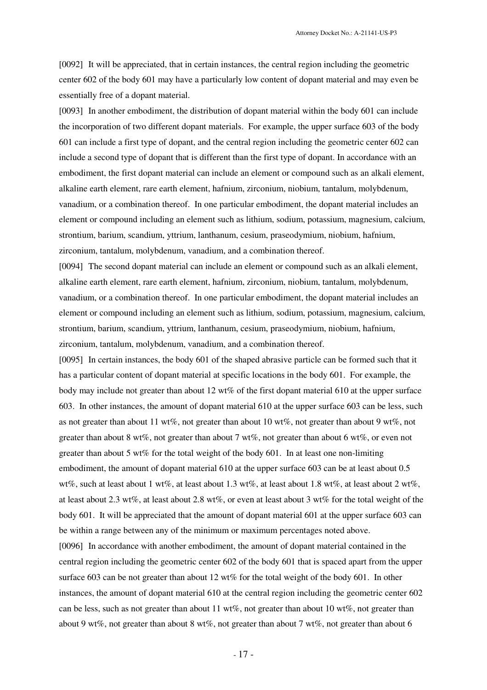[0092] It will be appreciated, that in certain instances, the central region including the geometric center 602 of the body 601 may have a particularly low content of dopant material and may even be essentially free of a dopant material.

[0093] In another embodiment, the distribution of dopant material within the body 601 can include the incorporation of two different dopant materials. For example, the upper surface 603 of the body 601 can include a first type of dopant, and the central region including the geometric center 602 can include a second type of dopant that is different than the first type of dopant. In accordance with an embodiment, the first dopant material can include an element or compound such as an alkali element, alkaline earth element, rare earth element, hafnium, zirconium, niobium, tantalum, molybdenum, vanadium, or a combination thereof. In one particular embodiment, the dopant material includes an element or compound including an element such as lithium, sodium, potassium, magnesium, calcium, strontium, barium, scandium, yttrium, lanthanum, cesium, praseodymium, niobium, hafnium, zirconium, tantalum, molybdenum, vanadium, and a combination thereof.

[0094] The second dopant material can include an element or compound such as an alkali element, alkaline earth element, rare earth element, hafnium, zirconium, niobium, tantalum, molybdenum, vanadium, or a combination thereof. In one particular embodiment, the dopant material includes an element or compound including an element such as lithium, sodium, potassium, magnesium, calcium, strontium, barium, scandium, yttrium, lanthanum, cesium, praseodymium, niobium, hafnium, zirconium, tantalum, molybdenum, vanadium, and a combination thereof.

[0095] In certain instances, the body 601 of the shaped abrasive particle can be formed such that it has a particular content of dopant material at specific locations in the body 601. For example, the body may include not greater than about 12 wt% of the first dopant material 610 at the upper surface 603. In other instances, the amount of dopant material 610 at the upper surface 603 can be less, such as not greater than about 11 wt%, not greater than about 10 wt%, not greater than about 9 wt%, not greater than about 8 wt%, not greater than about 7 wt%, not greater than about 6 wt%, or even not greater than about 5 wt% for the total weight of the body 601. In at least one non-limiting embodiment, the amount of dopant material 610 at the upper surface 603 can be at least about 0.5 wt%, such at least about 1 wt%, at least about 1.3 wt%, at least about 1.8 wt%, at least about 2 wt%, at least about 2.3 wt%, at least about 2.8 wt%, or even at least about 3 wt% for the total weight of the body 601. It will be appreciated that the amount of dopant material 601 at the upper surface 603 can be within a range between any of the minimum or maximum percentages noted above.

[0096] In accordance with another embodiment, the amount of dopant material contained in the central region including the geometric center 602 of the body 601 that is spaced apart from the upper surface 603 can be not greater than about 12 wt% for the total weight of the body 601. In other instances, the amount of dopant material 610 at the central region including the geometric center 602 can be less, such as not greater than about 11 wt%, not greater than about 10 wt%, not greater than about 9 wt%, not greater than about 8 wt%, not greater than about 7 wt%, not greater than about 6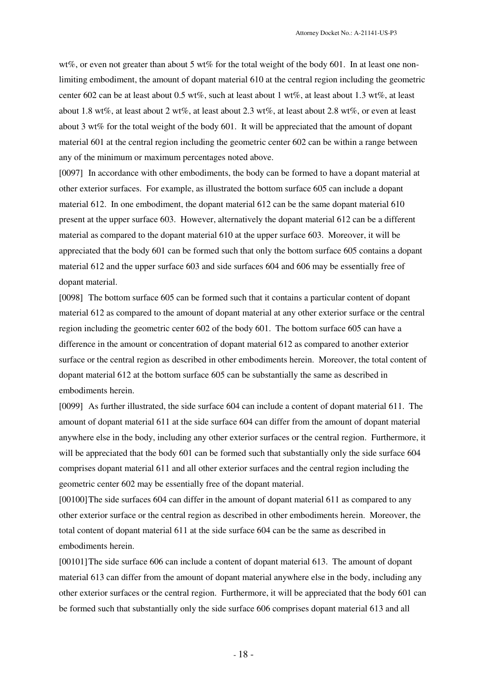wt%, or even not greater than about 5 wt% for the total weight of the body 601. In at least one nonlimiting embodiment, the amount of dopant material 610 at the central region including the geometric center 602 can be at least about 0.5 wt%, such at least about 1 wt%, at least about 1.3 wt%, at least about 1.8 wt%, at least about 2 wt%, at least about 2.3 wt%, at least about 2.8 wt%, or even at least about 3 wt% for the total weight of the body 601. It will be appreciated that the amount of dopant material 601 at the central region including the geometric center 602 can be within a range between any of the minimum or maximum percentages noted above.

[0097] In accordance with other embodiments, the body can be formed to have a dopant material at other exterior surfaces. For example, as illustrated the bottom surface 605 can include a dopant material 612. In one embodiment, the dopant material 612 can be the same dopant material 610 present at the upper surface 603. However, alternatively the dopant material 612 can be a different material as compared to the dopant material 610 at the upper surface 603. Moreover, it will be appreciated that the body 601 can be formed such that only the bottom surface 605 contains a dopant material 612 and the upper surface 603 and side surfaces 604 and 606 may be essentially free of dopant material.

[0098] The bottom surface 605 can be formed such that it contains a particular content of dopant material 612 as compared to the amount of dopant material at any other exterior surface or the central region including the geometric center 602 of the body 601. The bottom surface 605 can have a difference in the amount or concentration of dopant material 612 as compared to another exterior surface or the central region as described in other embodiments herein. Moreover, the total content of dopant material 612 at the bottom surface 605 can be substantially the same as described in embodiments herein.

[0099] As further illustrated, the side surface 604 can include a content of dopant material 611. The amount of dopant material 611 at the side surface 604 can differ from the amount of dopant material anywhere else in the body, including any other exterior surfaces or the central region. Furthermore, it will be appreciated that the body 601 can be formed such that substantially only the side surface 604 comprises dopant material 611 and all other exterior surfaces and the central region including the geometric center 602 may be essentially free of the dopant material.

[00100]The side surfaces 604 can differ in the amount of dopant material 611 as compared to any other exterior surface or the central region as described in other embodiments herein. Moreover, the total content of dopant material 611 at the side surface 604 can be the same as described in embodiments herein.

[00101]The side surface 606 can include a content of dopant material 613. The amount of dopant material 613 can differ from the amount of dopant material anywhere else in the body, including any other exterior surfaces or the central region. Furthermore, it will be appreciated that the body 601 can be formed such that substantially only the side surface 606 comprises dopant material 613 and all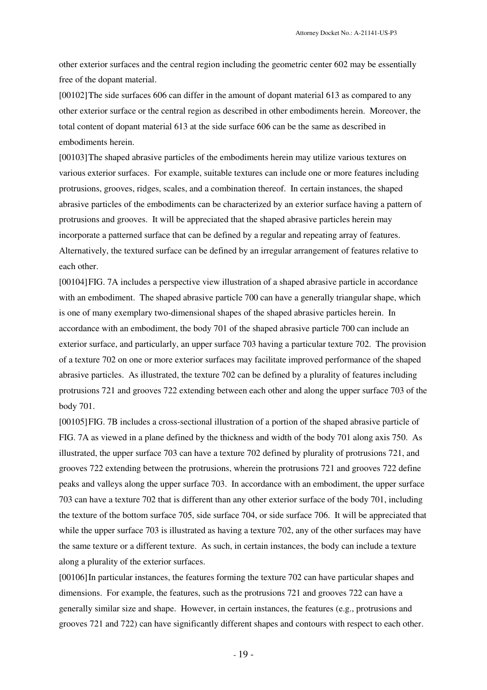other exterior surfaces and the central region including the geometric center 602 may be essentially free of the dopant material.

[00102]The side surfaces 606 can differ in the amount of dopant material 613 as compared to any other exterior surface or the central region as described in other embodiments herein. Moreover, the total content of dopant material 613 at the side surface 606 can be the same as described in embodiments herein.

[00103]The shaped abrasive particles of the embodiments herein may utilize various textures on various exterior surfaces. For example, suitable textures can include one or more features including protrusions, grooves, ridges, scales, and a combination thereof. In certain instances, the shaped abrasive particles of the embodiments can be characterized by an exterior surface having a pattern of protrusions and grooves. It will be appreciated that the shaped abrasive particles herein may incorporate a patterned surface that can be defined by a regular and repeating array of features. Alternatively, the textured surface can be defined by an irregular arrangement of features relative to each other.

[00104]FIG. 7A includes a perspective view illustration of a shaped abrasive particle in accordance with an embodiment. The shaped abrasive particle 700 can have a generally triangular shape, which is one of many exemplary two-dimensional shapes of the shaped abrasive particles herein. In accordance with an embodiment, the body 701 of the shaped abrasive particle 700 can include an exterior surface, and particularly, an upper surface 703 having a particular texture 702. The provision of a texture 702 on one or more exterior surfaces may facilitate improved performance of the shaped abrasive particles. As illustrated, the texture 702 can be defined by a plurality of features including protrusions 721 and grooves 722 extending between each other and along the upper surface 703 of the body 701.

[00105]FIG. 7B includes a cross-sectional illustration of a portion of the shaped abrasive particle of FIG. 7A as viewed in a plane defined by the thickness and width of the body 701 along axis 750. As illustrated, the upper surface 703 can have a texture 702 defined by plurality of protrusions 721, and grooves 722 extending between the protrusions, wherein the protrusions 721 and grooves 722 define peaks and valleys along the upper surface 703. In accordance with an embodiment, the upper surface 703 can have a texture 702 that is different than any other exterior surface of the body 701, including the texture of the bottom surface 705, side surface 704, or side surface 706. It will be appreciated that while the upper surface 703 is illustrated as having a texture 702, any of the other surfaces may have the same texture or a different texture. As such, in certain instances, the body can include a texture along a plurality of the exterior surfaces.

[00106]In particular instances, the features forming the texture 702 can have particular shapes and dimensions. For example, the features, such as the protrusions 721 and grooves 722 can have a generally similar size and shape. However, in certain instances, the features (e.g., protrusions and grooves 721 and 722) can have significantly different shapes and contours with respect to each other.

- 19 -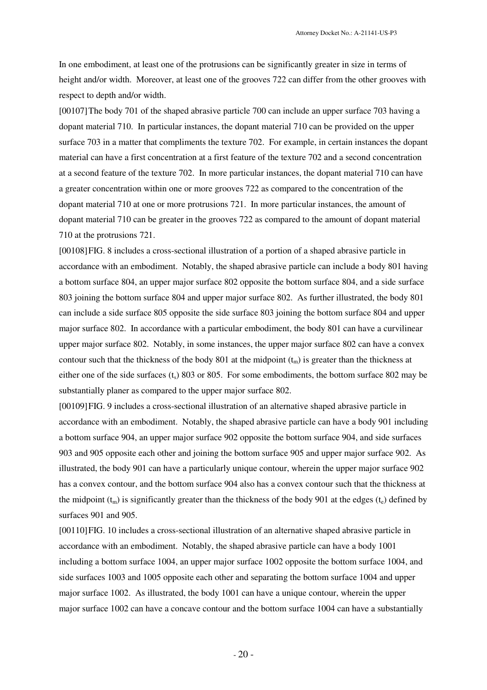In one embodiment, at least one of the protrusions can be significantly greater in size in terms of height and/or width. Moreover, at least one of the grooves 722 can differ from the other grooves with respect to depth and/or width.

[00107]The body 701 of the shaped abrasive particle 700 can include an upper surface 703 having a dopant material 710. In particular instances, the dopant material 710 can be provided on the upper surface 703 in a matter that compliments the texture 702. For example, in certain instances the dopant material can have a first concentration at a first feature of the texture 702 and a second concentration at a second feature of the texture 702. In more particular instances, the dopant material 710 can have a greater concentration within one or more grooves 722 as compared to the concentration of the dopant material 710 at one or more protrusions 721. In more particular instances, the amount of dopant material 710 can be greater in the grooves 722 as compared to the amount of dopant material 710 at the protrusions 721.

[00108]FIG. 8 includes a cross-sectional illustration of a portion of a shaped abrasive particle in accordance with an embodiment. Notably, the shaped abrasive particle can include a body 801 having a bottom surface 804, an upper major surface 802 opposite the bottom surface 804, and a side surface 803 joining the bottom surface 804 and upper major surface 802. As further illustrated, the body 801 can include a side surface 805 opposite the side surface 803 joining the bottom surface 804 and upper major surface 802. In accordance with a particular embodiment, the body 801 can have a curvilinear upper major surface 802. Notably, in some instances, the upper major surface 802 can have a convex contour such that the thickness of the body 801 at the midpoint  $(t_m)$  is greater than the thickness at either one of the side surfaces  $(t_s)$  803 or 805. For some embodiments, the bottom surface 802 may be substantially planer as compared to the upper major surface 802.

[00109]FIG. 9 includes a cross-sectional illustration of an alternative shaped abrasive particle in accordance with an embodiment. Notably, the shaped abrasive particle can have a body 901 including a bottom surface 904, an upper major surface 902 opposite the bottom surface 904, and side surfaces 903 and 905 opposite each other and joining the bottom surface 905 and upper major surface 902. As illustrated, the body 901 can have a particularly unique contour, wherein the upper major surface 902 has a convex contour, and the bottom surface 904 also has a convex contour such that the thickness at the midpoint  $(t_m)$  is significantly greater than the thickness of the body 901 at the edges  $(t_e)$  defined by surfaces 901 and 905.

[00110]FIG. 10 includes a cross-sectional illustration of an alternative shaped abrasive particle in accordance with an embodiment. Notably, the shaped abrasive particle can have a body 1001 including a bottom surface 1004, an upper major surface 1002 opposite the bottom surface 1004, and side surfaces 1003 and 1005 opposite each other and separating the bottom surface 1004 and upper major surface 1002. As illustrated, the body 1001 can have a unique contour, wherein the upper major surface 1002 can have a concave contour and the bottom surface 1004 can have a substantially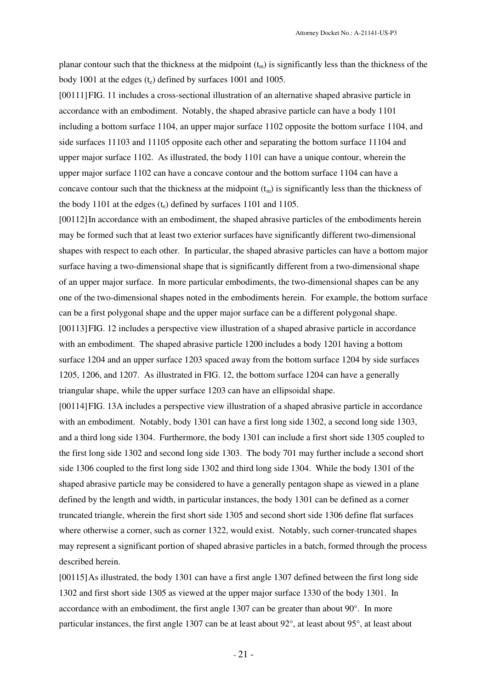planar contour such that the thickness at the midpoint  $(t_m)$  is significantly less than the thickness of the body 1001 at the edges  $(t_e)$  defined by surfaces 1001 and 1005.

[00111]FIG. 11 includes a cross-sectional illustration of an alternative shaped abrasive particle in accordance with an embodiment. Notably, the shaped abrasive particle can have a body 1101 including a bottom surface 1104, an upper major surface 1102 opposite the bottom surface 1104, and side surfaces 11103 and 11105 opposite each other and separating the bottom surface 11104 and upper major surface 1102. As illustrated, the body 1101 can have a unique contour, wherein the upper major surface 1102 can have a concave contour and the bottom surface 1104 can have a concave contour such that the thickness at the midpoint  $(t_m)$  is significantly less than the thickness of the body 1101 at the edges  $(t<sub>e</sub>)$  defined by surfaces 1101 and 1105.

[00112]In accordance with an embodiment, the shaped abrasive particles of the embodiments herein may be formed such that at least two exterior surfaces have significantly different two-dimensional shapes with respect to each other. In particular, the shaped abrasive particles can have a bottom major surface having a two-dimensional shape that is significantly different from a two-dimensional shape of an upper major surface. In more particular embodiments, the two-dimensional shapes can be any one of the two-dimensional shapes noted in the embodiments herein. For example, the bottom surface can be a first polygonal shape and the upper major surface can be a different polygonal shape. [00113]FIG. 12 includes a perspective view illustration of a shaped abrasive particle in accordance with an embodiment. The shaped abrasive particle 1200 includes a body 1201 having a bottom surface 1204 and an upper surface 1203 spaced away from the bottom surface 1204 by side surfaces 1205, 1206, and 1207. As illustrated in FIG. 12, the bottom surface 1204 can have a generally triangular shape, while the upper surface 1203 can have an ellipsoidal shape.

[00114]FIG. 13A includes a perspective view illustration of a shaped abrasive particle in accordance with an embodiment. Notably, body 1301 can have a first long side 1302, a second long side 1303, and a third long side 1304. Furthermore, the body 1301 can include a first short side 1305 coupled to the first long side 1302 and second long side 1303. The body 701 may further include a second short side 1306 coupled to the first long side 1302 and third long side 1304. While the body 1301 of the shaped abrasive particle may be considered to have a generally pentagon shape as viewed in a plane defined by the length and width, in particular instances, the body 1301 can be defined as a corner truncated triangle, wherein the first short side 1305 and second short side 1306 define flat surfaces where otherwise a corner, such as corner 1322, would exist. Notably, such corner-truncated shapes may represent a significant portion of shaped abrasive particles in a batch, formed through the process described herein.

[00115]As illustrated, the body 1301 can have a first angle 1307 defined between the first long side 1302 and first short side 1305 as viewed at the upper major surface 1330 of the body 1301. In accordance with an embodiment, the first angle 1307 can be greater than about 90°. In more particular instances, the first angle 1307 can be at least about 92°, at least about 95°, at least about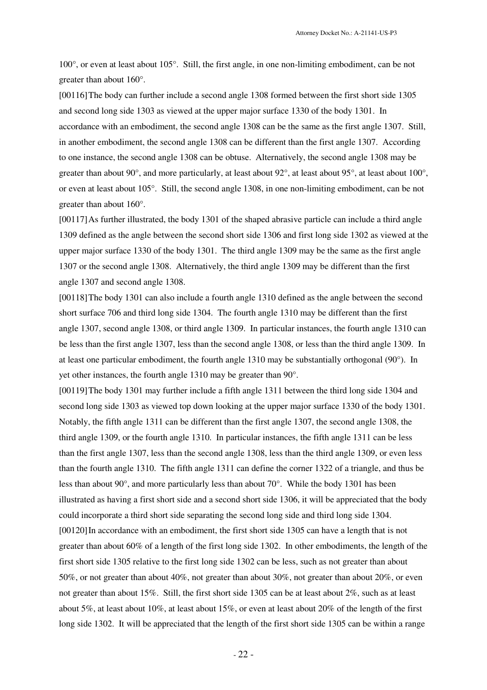100°, or even at least about 105°. Still, the first angle, in one non-limiting embodiment, can be not greater than about 160°.

[00116]The body can further include a second angle 1308 formed between the first short side 1305 and second long side 1303 as viewed at the upper major surface 1330 of the body 1301. In accordance with an embodiment, the second angle 1308 can be the same as the first angle 1307. Still, in another embodiment, the second angle 1308 can be different than the first angle 1307. According to one instance, the second angle 1308 can be obtuse. Alternatively, the second angle 1308 may be greater than about 90°, and more particularly, at least about 92°, at least about 95°, at least about 100°, or even at least about 105°. Still, the second angle 1308, in one non-limiting embodiment, can be not greater than about 160°.

[00117]As further illustrated, the body 1301 of the shaped abrasive particle can include a third angle 1309 defined as the angle between the second short side 1306 and first long side 1302 as viewed at the upper major surface 1330 of the body 1301. The third angle 1309 may be the same as the first angle 1307 or the second angle 1308. Alternatively, the third angle 1309 may be different than the first angle 1307 and second angle 1308.

[00118]The body 1301 can also include a fourth angle 1310 defined as the angle between the second short surface 706 and third long side 1304. The fourth angle 1310 may be different than the first angle 1307, second angle 1308, or third angle 1309. In particular instances, the fourth angle 1310 can be less than the first angle 1307, less than the second angle 1308, or less than the third angle 1309. In at least one particular embodiment, the fourth angle 1310 may be substantially orthogonal (90°). In yet other instances, the fourth angle 1310 may be greater than 90°.

[00119]The body 1301 may further include a fifth angle 1311 between the third long side 1304 and second long side 1303 as viewed top down looking at the upper major surface 1330 of the body 1301. Notably, the fifth angle 1311 can be different than the first angle 1307, the second angle 1308, the third angle 1309, or the fourth angle 1310. In particular instances, the fifth angle 1311 can be less than the first angle 1307, less than the second angle 1308, less than the third angle 1309, or even less than the fourth angle 1310. The fifth angle 1311 can define the corner 1322 of a triangle, and thus be less than about  $90^{\circ}$ , and more particularly less than about  $70^{\circ}$ . While the body 1301 has been illustrated as having a first short side and a second short side 1306, it will be appreciated that the body could incorporate a third short side separating the second long side and third long side 1304. [00120] In accordance with an embodiment, the first short side 1305 can have a length that is not greater than about 60% of a length of the first long side 1302. In other embodiments, the length of the first short side 1305 relative to the first long side 1302 can be less, such as not greater than about 50%, or not greater than about 40%, not greater than about 30%, not greater than about 20%, or even not greater than about 15%. Still, the first short side 1305 can be at least about 2%, such as at least about 5%, at least about 10%, at least about 15%, or even at least about 20% of the length of the first long side 1302. It will be appreciated that the length of the first short side 1305 can be within a range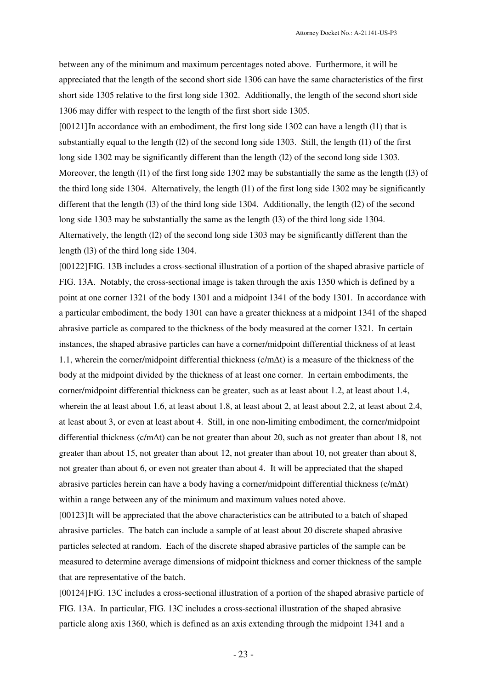between any of the minimum and maximum percentages noted above. Furthermore, it will be appreciated that the length of the second short side 1306 can have the same characteristics of the first short side 1305 relative to the first long side 1302. Additionally, the length of the second short side 1306 may differ with respect to the length of the first short side 1305.

[00121] In accordance with an embodiment, the first long side 1302 can have a length (11) that is substantially equal to the length (l2) of the second long side 1303. Still, the length (l1) of the first long side 1302 may be significantly different than the length (12) of the second long side 1303. Moreover, the length (l1) of the first long side 1302 may be substantially the same as the length (l3) of the third long side 1304. Alternatively, the length (l1) of the first long side 1302 may be significantly different that the length (l3) of the third long side 1304. Additionally, the length (l2) of the second long side 1303 may be substantially the same as the length (13) of the third long side 1304. Alternatively, the length (l2) of the second long side 1303 may be significantly different than the length (l3) of the third long side 1304.

[00122]FIG. 13B includes a cross-sectional illustration of a portion of the shaped abrasive particle of FIG. 13A. Notably, the cross-sectional image is taken through the axis 1350 which is defined by a point at one corner 1321 of the body 1301 and a midpoint 1341 of the body 1301. In accordance with a particular embodiment, the body 1301 can have a greater thickness at a midpoint 1341 of the shaped abrasive particle as compared to the thickness of the body measured at the corner 1321. In certain instances, the shaped abrasive particles can have a corner/midpoint differential thickness of at least 1.1, wherein the corner/midpoint differential thickness (c/m∆t) is a measure of the thickness of the body at the midpoint divided by the thickness of at least one corner. In certain embodiments, the corner/midpoint differential thickness can be greater, such as at least about 1.2, at least about 1.4, wherein the at least about 1.6, at least about 1.8, at least about 2, at least about 2.2, at least about 2.4, at least about 3, or even at least about 4. Still, in one non-limiting embodiment, the corner/midpoint differential thickness (c/m∆t) can be not greater than about 20, such as not greater than about 18, not greater than about 15, not greater than about 12, not greater than about 10, not greater than about 8, not greater than about 6, or even not greater than about 4. It will be appreciated that the shaped abrasive particles herein can have a body having a corner/midpoint differential thickness (c/m∆t) within a range between any of the minimum and maximum values noted above.

[00123]It will be appreciated that the above characteristics can be attributed to a batch of shaped abrasive particles. The batch can include a sample of at least about 20 discrete shaped abrasive particles selected at random. Each of the discrete shaped abrasive particles of the sample can be measured to determine average dimensions of midpoint thickness and corner thickness of the sample that are representative of the batch.

[00124]FIG. 13C includes a cross-sectional illustration of a portion of the shaped abrasive particle of FIG. 13A. In particular, FIG. 13C includes a cross-sectional illustration of the shaped abrasive particle along axis 1360, which is defined as an axis extending through the midpoint 1341 and a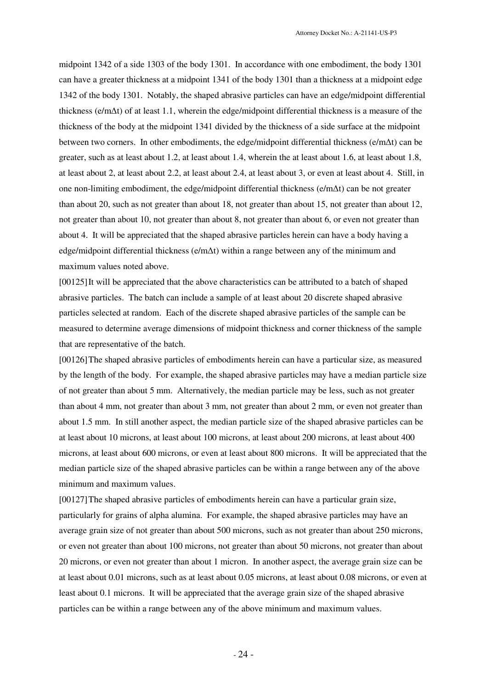midpoint 1342 of a side 1303 of the body 1301. In accordance with one embodiment, the body 1301 can have a greater thickness at a midpoint 1341 of the body 1301 than a thickness at a midpoint edge 1342 of the body 1301. Notably, the shaped abrasive particles can have an edge/midpoint differential thickness (e/m∆t) of at least 1.1, wherein the edge/midpoint differential thickness is a measure of the thickness of the body at the midpoint 1341 divided by the thickness of a side surface at the midpoint between two corners. In other embodiments, the edge/midpoint differential thickness (e/m∆t) can be greater, such as at least about 1.2, at least about 1.4, wherein the at least about 1.6, at least about 1.8, at least about 2, at least about 2.2, at least about 2.4, at least about 3, or even at least about 4. Still, in one non-limiting embodiment, the edge/midpoint differential thickness (e/m∆t) can be not greater than about 20, such as not greater than about 18, not greater than about 15, not greater than about 12, not greater than about 10, not greater than about 8, not greater than about 6, or even not greater than about 4. It will be appreciated that the shaped abrasive particles herein can have a body having a edge/midpoint differential thickness (e/m∆t) within a range between any of the minimum and maximum values noted above.

[00125]It will be appreciated that the above characteristics can be attributed to a batch of shaped abrasive particles. The batch can include a sample of at least about 20 discrete shaped abrasive particles selected at random. Each of the discrete shaped abrasive particles of the sample can be measured to determine average dimensions of midpoint thickness and corner thickness of the sample that are representative of the batch.

[00126]The shaped abrasive particles of embodiments herein can have a particular size, as measured by the length of the body. For example, the shaped abrasive particles may have a median particle size of not greater than about 5 mm. Alternatively, the median particle may be less, such as not greater than about 4 mm, not greater than about 3 mm, not greater than about 2 mm, or even not greater than about 1.5 mm. In still another aspect, the median particle size of the shaped abrasive particles can be at least about 10 microns, at least about 100 microns, at least about 200 microns, at least about 400 microns, at least about 600 microns, or even at least about 800 microns. It will be appreciated that the median particle size of the shaped abrasive particles can be within a range between any of the above minimum and maximum values.

[00127]The shaped abrasive particles of embodiments herein can have a particular grain size, particularly for grains of alpha alumina. For example, the shaped abrasive particles may have an average grain size of not greater than about 500 microns, such as not greater than about 250 microns, or even not greater than about 100 microns, not greater than about 50 microns, not greater than about 20 microns, or even not greater than about 1 micron. In another aspect, the average grain size can be at least about 0.01 microns, such as at least about 0.05 microns, at least about 0.08 microns, or even at least about 0.1 microns. It will be appreciated that the average grain size of the shaped abrasive particles can be within a range between any of the above minimum and maximum values.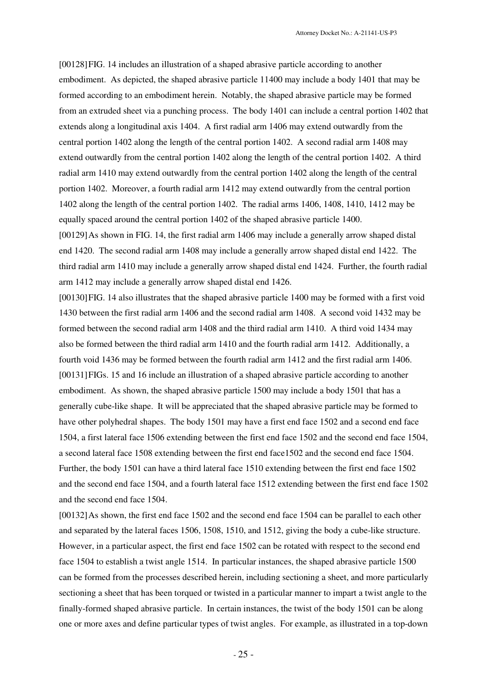[00128]FIG. 14 includes an illustration of a shaped abrasive particle according to another embodiment. As depicted, the shaped abrasive particle 11400 may include a body 1401 that may be formed according to an embodiment herein. Notably, the shaped abrasive particle may be formed from an extruded sheet via a punching process. The body 1401 can include a central portion 1402 that extends along a longitudinal axis 1404. A first radial arm 1406 may extend outwardly from the central portion 1402 along the length of the central portion 1402. A second radial arm 1408 may extend outwardly from the central portion 1402 along the length of the central portion 1402. A third radial arm 1410 may extend outwardly from the central portion 1402 along the length of the central portion 1402. Moreover, a fourth radial arm 1412 may extend outwardly from the central portion 1402 along the length of the central portion 1402. The radial arms 1406, 1408, 1410, 1412 may be equally spaced around the central portion 1402 of the shaped abrasive particle 1400.

[00129]As shown in FIG. 14, the first radial arm 1406 may include a generally arrow shaped distal end 1420. The second radial arm 1408 may include a generally arrow shaped distal end 1422. The third radial arm 1410 may include a generally arrow shaped distal end 1424. Further, the fourth radial arm 1412 may include a generally arrow shaped distal end 1426.

[00130]FIG. 14 also illustrates that the shaped abrasive particle 1400 may be formed with a first void 1430 between the first radial arm 1406 and the second radial arm 1408. A second void 1432 may be formed between the second radial arm 1408 and the third radial arm 1410. A third void 1434 may also be formed between the third radial arm 1410 and the fourth radial arm 1412. Additionally, a fourth void 1436 may be formed between the fourth radial arm 1412 and the first radial arm 1406. [00131]FIGs. 15 and 16 include an illustration of a shaped abrasive particle according to another embodiment. As shown, the shaped abrasive particle 1500 may include a body 1501 that has a generally cube-like shape. It will be appreciated that the shaped abrasive particle may be formed to have other polyhedral shapes. The body 1501 may have a first end face 1502 and a second end face 1504, a first lateral face 1506 extending between the first end face 1502 and the second end face 1504, a second lateral face 1508 extending between the first end face1502 and the second end face 1504. Further, the body 1501 can have a third lateral face 1510 extending between the first end face 1502 and the second end face 1504, and a fourth lateral face 1512 extending between the first end face 1502 and the second end face 1504.

[00132] As shown, the first end face 1502 and the second end face 1504 can be parallel to each other and separated by the lateral faces 1506, 1508, 1510, and 1512, giving the body a cube-like structure. However, in a particular aspect, the first end face 1502 can be rotated with respect to the second end face 1504 to establish a twist angle 1514. In particular instances, the shaped abrasive particle 1500 can be formed from the processes described herein, including sectioning a sheet, and more particularly sectioning a sheet that has been torqued or twisted in a particular manner to impart a twist angle to the finally-formed shaped abrasive particle. In certain instances, the twist of the body 1501 can be along one or more axes and define particular types of twist angles. For example, as illustrated in a top-down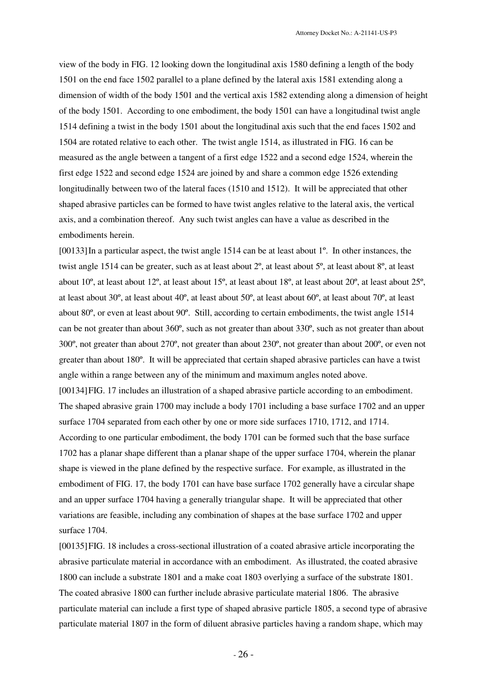view of the body in FIG. 12 looking down the longitudinal axis 1580 defining a length of the body 1501 on the end face 1502 parallel to a plane defined by the lateral axis 1581 extending along a dimension of width of the body 1501 and the vertical axis 1582 extending along a dimension of height of the body 1501. According to one embodiment, the body 1501 can have a longitudinal twist angle 1514 defining a twist in the body 1501 about the longitudinal axis such that the end faces 1502 and 1504 are rotated relative to each other. The twist angle 1514, as illustrated in FIG. 16 can be measured as the angle between a tangent of a first edge 1522 and a second edge 1524, wherein the first edge 1522 and second edge 1524 are joined by and share a common edge 1526 extending longitudinally between two of the lateral faces (1510 and 1512). It will be appreciated that other shaped abrasive particles can be formed to have twist angles relative to the lateral axis, the vertical axis, and a combination thereof. Any such twist angles can have a value as described in the embodiments herein.

[00133]In a particular aspect, the twist angle 1514 can be at least about 1º. In other instances, the twist angle 1514 can be greater, such as at least about 2º, at least about 5º, at least about 8º, at least about 10º, at least about 12º, at least about 15º, at least about 18º, at least about 20º, at least about 25º, at least about 30º, at least about 40º, at least about 50º, at least about 60º, at least about 70º, at least about 80º, or even at least about 90º. Still, according to certain embodiments, the twist angle 1514 can be not greater than about 360º, such as not greater than about 330º, such as not greater than about 300º, not greater than about 270º, not greater than about 230º, not greater than about 200º, or even not greater than about 180º. It will be appreciated that certain shaped abrasive particles can have a twist angle within a range between any of the minimum and maximum angles noted above. [00134]FIG. 17 includes an illustration of a shaped abrasive particle according to an embodiment. The shaped abrasive grain 1700 may include a body 1701 including a base surface 1702 and an upper surface 1704 separated from each other by one or more side surfaces 1710, 1712, and 1714. According to one particular embodiment, the body 1701 can be formed such that the base surface 1702 has a planar shape different than a planar shape of the upper surface 1704, wherein the planar

shape is viewed in the plane defined by the respective surface. For example, as illustrated in the embodiment of FIG. 17, the body 1701 can have base surface 1702 generally have a circular shape and an upper surface 1704 having a generally triangular shape. It will be appreciated that other variations are feasible, including any combination of shapes at the base surface 1702 and upper surface 1704.

[00135]FIG. 18 includes a cross-sectional illustration of a coated abrasive article incorporating the abrasive particulate material in accordance with an embodiment. As illustrated, the coated abrasive 1800 can include a substrate 1801 and a make coat 1803 overlying a surface of the substrate 1801. The coated abrasive 1800 can further include abrasive particulate material 1806. The abrasive particulate material can include a first type of shaped abrasive particle 1805, a second type of abrasive particulate material 1807 in the form of diluent abrasive particles having a random shape, which may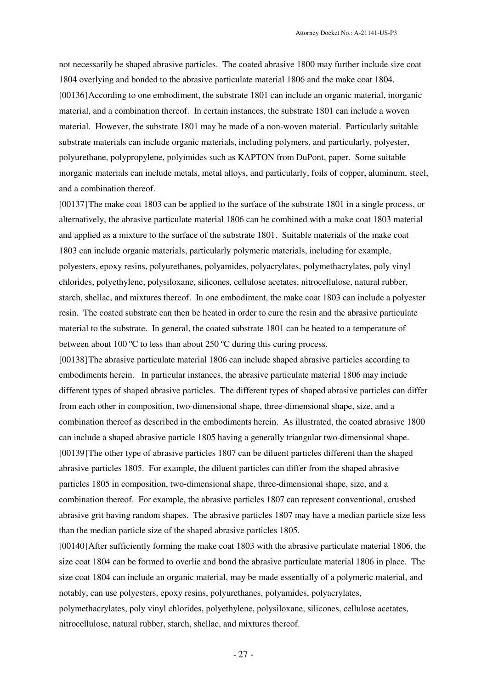not necessarily be shaped abrasive particles. The coated abrasive 1800 may further include size coat 1804 overlying and bonded to the abrasive particulate material 1806 and the make coat 1804. [00136]According to one embodiment, the substrate 1801 can include an organic material, inorganic material, and a combination thereof. In certain instances, the substrate 1801 can include a woven material. However, the substrate 1801 may be made of a non-woven material. Particularly suitable substrate materials can include organic materials, including polymers, and particularly, polyester, polyurethane, polypropylene, polyimides such as KAPTON from DuPont, paper. Some suitable inorganic materials can include metals, metal alloys, and particularly, foils of copper, aluminum, steel, and a combination thereof.

[00137]The make coat 1803 can be applied to the surface of the substrate 1801 in a single process, or alternatively, the abrasive particulate material 1806 can be combined with a make coat 1803 material and applied as a mixture to the surface of the substrate 1801. Suitable materials of the make coat 1803 can include organic materials, particularly polymeric materials, including for example, polyesters, epoxy resins, polyurethanes, polyamides, polyacrylates, polymethacrylates, poly vinyl chlorides, polyethylene, polysiloxane, silicones, cellulose acetates, nitrocellulose, natural rubber, starch, shellac, and mixtures thereof. In one embodiment, the make coat 1803 can include a polyester resin. The coated substrate can then be heated in order to cure the resin and the abrasive particulate material to the substrate. In general, the coated substrate 1801 can be heated to a temperature of between about 100 ºC to less than about 250 ºC during this curing process.

[00138]The abrasive particulate material 1806 can include shaped abrasive particles according to embodiments herein. In particular instances, the abrasive particulate material 1806 may include different types of shaped abrasive particles. The different types of shaped abrasive particles can differ from each other in composition, two-dimensional shape, three-dimensional shape, size, and a combination thereof as described in the embodiments herein. As illustrated, the coated abrasive 1800 can include a shaped abrasive particle 1805 having a generally triangular two-dimensional shape. [00139]The other type of abrasive particles 1807 can be diluent particles different than the shaped abrasive particles 1805. For example, the diluent particles can differ from the shaped abrasive particles 1805 in composition, two-dimensional shape, three-dimensional shape, size, and a combination thereof. For example, the abrasive particles 1807 can represent conventional, crushed abrasive grit having random shapes. The abrasive particles 1807 may have a median particle size less than the median particle size of the shaped abrasive particles 1805.

[00140]After sufficiently forming the make coat 1803 with the abrasive particulate material 1806, the size coat 1804 can be formed to overlie and bond the abrasive particulate material 1806 in place. The size coat 1804 can include an organic material, may be made essentially of a polymeric material, and notably, can use polyesters, epoxy resins, polyurethanes, polyamides, polyacrylates, polymethacrylates, poly vinyl chlorides, polyethylene, polysiloxane, silicones, cellulose acetates, nitrocellulose, natural rubber, starch, shellac, and mixtures thereof.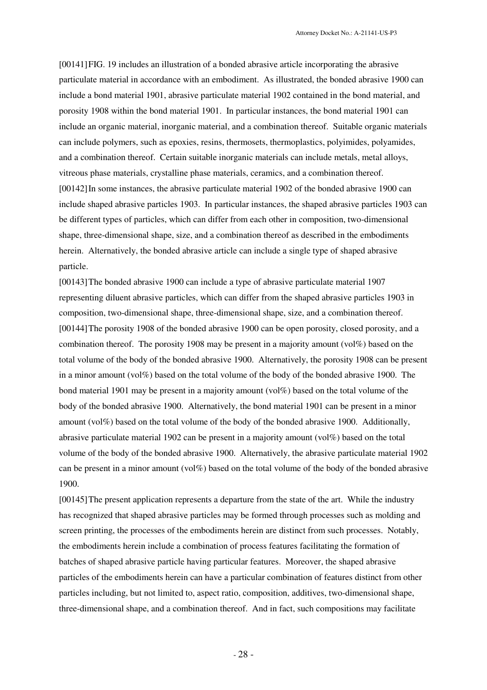[00141]FIG. 19 includes an illustration of a bonded abrasive article incorporating the abrasive particulate material in accordance with an embodiment. As illustrated, the bonded abrasive 1900 can include a bond material 1901, abrasive particulate material 1902 contained in the bond material, and porosity 1908 within the bond material 1901. In particular instances, the bond material 1901 can include an organic material, inorganic material, and a combination thereof. Suitable organic materials can include polymers, such as epoxies, resins, thermosets, thermoplastics, polyimides, polyamides, and a combination thereof. Certain suitable inorganic materials can include metals, metal alloys, vitreous phase materials, crystalline phase materials, ceramics, and a combination thereof. [00142]In some instances, the abrasive particulate material 1902 of the bonded abrasive 1900 can include shaped abrasive particles 1903. In particular instances, the shaped abrasive particles 1903 can be different types of particles, which can differ from each other in composition, two-dimensional shape, three-dimensional shape, size, and a combination thereof as described in the embodiments herein. Alternatively, the bonded abrasive article can include a single type of shaped abrasive particle.

[00143]The bonded abrasive 1900 can include a type of abrasive particulate material 1907 representing diluent abrasive particles, which can differ from the shaped abrasive particles 1903 in composition, two-dimensional shape, three-dimensional shape, size, and a combination thereof. [00144]The porosity 1908 of the bonded abrasive 1900 can be open porosity, closed porosity, and a combination thereof. The porosity 1908 may be present in a majority amount (vol%) based on the total volume of the body of the bonded abrasive 1900. Alternatively, the porosity 1908 can be present in a minor amount (vol $\%$ ) based on the total volume of the body of the bonded abrasive 1900. The bond material 1901 may be present in a majority amount (vol%) based on the total volume of the body of the bonded abrasive 1900. Alternatively, the bond material 1901 can be present in a minor amount (vol%) based on the total volume of the body of the bonded abrasive 1900. Additionally, abrasive particulate material 1902 can be present in a majority amount (vol%) based on the total volume of the body of the bonded abrasive 1900. Alternatively, the abrasive particulate material 1902 can be present in a minor amount (vol%) based on the total volume of the body of the bonded abrasive 1900.

[00145]The present application represents a departure from the state of the art. While the industry has recognized that shaped abrasive particles may be formed through processes such as molding and screen printing, the processes of the embodiments herein are distinct from such processes. Notably, the embodiments herein include a combination of process features facilitating the formation of batches of shaped abrasive particle having particular features. Moreover, the shaped abrasive particles of the embodiments herein can have a particular combination of features distinct from other particles including, but not limited to, aspect ratio, composition, additives, two-dimensional shape, three-dimensional shape, and a combination thereof. And in fact, such compositions may facilitate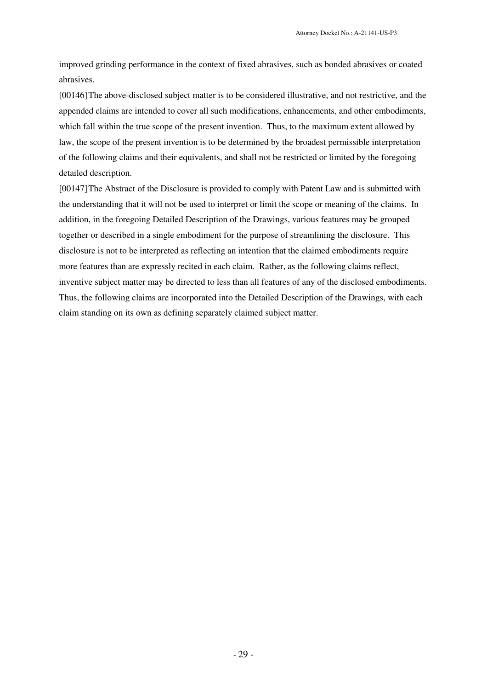improved grinding performance in the context of fixed abrasives, such as bonded abrasives or coated abrasives.

[00146]The above-disclosed subject matter is to be considered illustrative, and not restrictive, and the appended claims are intended to cover all such modifications, enhancements, and other embodiments, which fall within the true scope of the present invention. Thus, to the maximum extent allowed by law, the scope of the present invention is to be determined by the broadest permissible interpretation of the following claims and their equivalents, and shall not be restricted or limited by the foregoing detailed description.

[00147]The Abstract of the Disclosure is provided to comply with Patent Law and is submitted with the understanding that it will not be used to interpret or limit the scope or meaning of the claims. In addition, in the foregoing Detailed Description of the Drawings, various features may be grouped together or described in a single embodiment for the purpose of streamlining the disclosure. This disclosure is not to be interpreted as reflecting an intention that the claimed embodiments require more features than are expressly recited in each claim. Rather, as the following claims reflect, inventive subject matter may be directed to less than all features of any of the disclosed embodiments. Thus, the following claims are incorporated into the Detailed Description of the Drawings, with each claim standing on its own as defining separately claimed subject matter.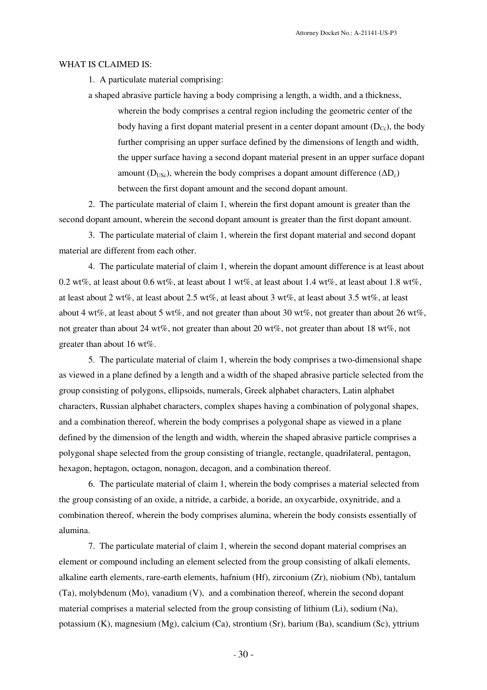#### WHAT IS CLAIMED IS:

1. A particulate material comprising:

a shaped abrasive particle having a body comprising a length, a width, and a thickness, wherein the body comprises a central region including the geometric center of the body having a first dopant material present in a center dopant amount  $(D_{Cc})$ , the body further comprising an upper surface defined by the dimensions of length and width, the upper surface having a second dopant material present in an upper surface dopant amount ( $D_{\text{USc}}$ ), wherein the body comprises a dopant amount difference ( $\Delta D_c$ ) between the first dopant amount and the second dopant amount.

2. The particulate material of claim 1, wherein the first dopant amount is greater than the second dopant amount, wherein the second dopant amount is greater than the first dopant amount.

3. The particulate material of claim 1, wherein the first dopant material and second dopant material are different from each other.

4. The particulate material of claim 1, wherein the dopant amount difference is at least about 0.2 wt%, at least about 0.6 wt%, at least about 1 wt%, at least about 1.4 wt%, at least about 1.8 wt%, at least about 2 wt%, at least about 2.5 wt%, at least about 3 wt%, at least about 3.5 wt%, at least about 4 wt%, at least about 5 wt%, and not greater than about 30 wt%, not greater than about 26 wt%, not greater than about 24 wt%, not greater than about 20 wt%, not greater than about 18 wt%, not greater than about 16 wt%.

5. The particulate material of claim 1, wherein the body comprises a two-dimensional shape as viewed in a plane defined by a length and a width of the shaped abrasive particle selected from the group consisting of polygons, ellipsoids, numerals, Greek alphabet characters, Latin alphabet characters, Russian alphabet characters, complex shapes having a combination of polygonal shapes, and a combination thereof, wherein the body comprises a polygonal shape as viewed in a plane defined by the dimension of the length and width, wherein the shaped abrasive particle comprises a polygonal shape selected from the group consisting of triangle, rectangle, quadrilateral, pentagon, hexagon, heptagon, octagon, nonagon, decagon, and a combination thereof.

6. The particulate material of claim 1, wherein the body comprises a material selected from the group consisting of an oxide, a nitride, a carbide, a boride, an oxycarbide, oxynitride, and a combination thereof, wherein the body comprises alumina, wherein the body consists essentially of alumina.

7. The particulate material of claim 1, wherein the second dopant material comprises an element or compound including an element selected from the group consisting of alkali elements, alkaline earth elements, rare-earth elements, hafnium (Hf), zirconium (Zr), niobium (Nb), tantalum (Ta), molybdenum (Mo), vanadium (V), and a combination thereof, wherein the second dopant material comprises a material selected from the group consisting of lithium (Li), sodium (Na), potassium (K), magnesium (Mg), calcium (Ca), strontium (Sr), barium (Ba), scandium (Sc), yttrium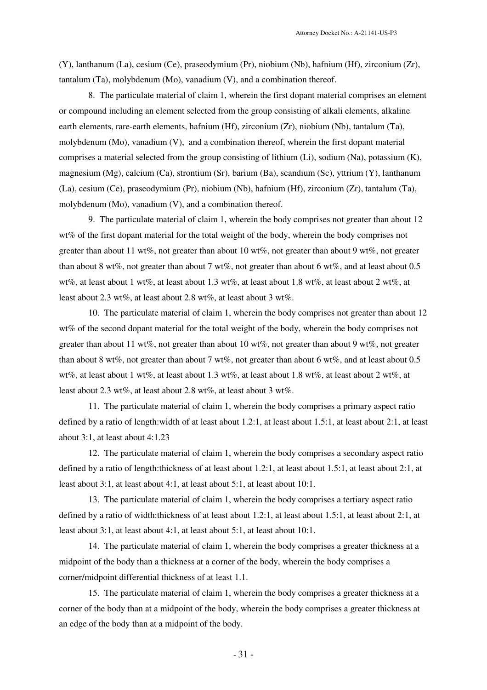(Y), lanthanum (La), cesium (Ce), praseodymium (Pr), niobium (Nb), hafnium (Hf), zirconium (Zr), tantalum (Ta), molybdenum (Mo), vanadium (V), and a combination thereof.

8. The particulate material of claim 1, wherein the first dopant material comprises an element or compound including an element selected from the group consisting of alkali elements, alkaline earth elements, rare-earth elements, hafnium (Hf), zirconium (Zr), niobium (Nb), tantalum (Ta), molybdenum (Mo), vanadium (V), and a combination thereof, wherein the first dopant material comprises a material selected from the group consisting of lithium (Li), sodium (Na), potassium (K), magnesium (Mg), calcium (Ca), strontium (Sr), barium (Ba), scandium (Sc), yttrium (Y), lanthanum (La), cesium (Ce), praseodymium (Pr), niobium (Nb), hafnium (Hf), zirconium (Zr), tantalum (Ta), molybdenum (Mo), vanadium (V), and a combination thereof.

9. The particulate material of claim 1, wherein the body comprises not greater than about 12 wt% of the first dopant material for the total weight of the body, wherein the body comprises not greater than about 11 wt%, not greater than about 10 wt%, not greater than about 9 wt%, not greater than about 8 wt%, not greater than about 7 wt%, not greater than about 6 wt%, and at least about 0.5 wt%, at least about 1 wt%, at least about 1.3 wt%, at least about 1.8 wt%, at least about 2 wt%, at least about 2.3 wt%, at least about 2.8 wt%, at least about 3 wt%.

10. The particulate material of claim 1, wherein the body comprises not greater than about 12 wt% of the second dopant material for the total weight of the body, wherein the body comprises not greater than about 11 wt%, not greater than about 10 wt%, not greater than about 9 wt%, not greater than about 8 wt%, not greater than about 7 wt%, not greater than about 6 wt%, and at least about 0.5 wt%, at least about 1 wt%, at least about 1.3 wt%, at least about 1.8 wt%, at least about 2 wt%, at least about 2.3 wt%, at least about 2.8 wt%, at least about 3 wt%.

11. The particulate material of claim 1, wherein the body comprises a primary aspect ratio defined by a ratio of length:width of at least about 1.2:1, at least about 1.5:1, at least about 2:1, at least about 3:1, at least about 4:1.23

12. The particulate material of claim 1, wherein the body comprises a secondary aspect ratio defined by a ratio of length:thickness of at least about 1.2:1, at least about 1.5:1, at least about 2:1, at least about 3:1, at least about 4:1, at least about 5:1, at least about 10:1.

13. The particulate material of claim 1, wherein the body comprises a tertiary aspect ratio defined by a ratio of width:thickness of at least about 1.2:1, at least about 1.5:1, at least about 2:1, at least about 3:1, at least about 4:1, at least about 5:1, at least about 10:1.

14. The particulate material of claim 1, wherein the body comprises a greater thickness at a midpoint of the body than a thickness at a corner of the body, wherein the body comprises a corner/midpoint differential thickness of at least 1.1.

15. The particulate material of claim 1, wherein the body comprises a greater thickness at a corner of the body than at a midpoint of the body, wherein the body comprises a greater thickness at an edge of the body than at a midpoint of the body.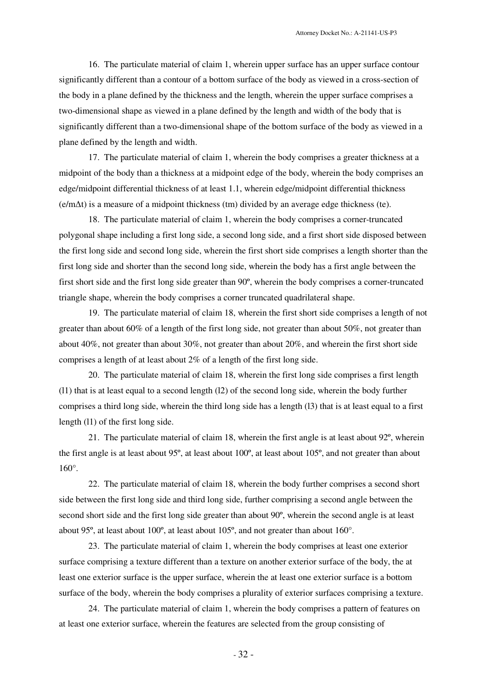16. The particulate material of claim 1, wherein upper surface has an upper surface contour significantly different than a contour of a bottom surface of the body as viewed in a cross-section of the body in a plane defined by the thickness and the length, wherein the upper surface comprises a two-dimensional shape as viewed in a plane defined by the length and width of the body that is significantly different than a two-dimensional shape of the bottom surface of the body as viewed in a plane defined by the length and width.

17. The particulate material of claim 1, wherein the body comprises a greater thickness at a midpoint of the body than a thickness at a midpoint edge of the body, wherein the body comprises an edge/midpoint differential thickness of at least 1.1, wherein edge/midpoint differential thickness (e/m∆t) is a measure of a midpoint thickness (tm) divided by an average edge thickness (te).

18. The particulate material of claim 1, wherein the body comprises a corner-truncated polygonal shape including a first long side, a second long side, and a first short side disposed between the first long side and second long side, wherein the first short side comprises a length shorter than the first long side and shorter than the second long side, wherein the body has a first angle between the first short side and the first long side greater than 90º, wherein the body comprises a corner-truncated triangle shape, wherein the body comprises a corner truncated quadrilateral shape.

19. The particulate material of claim 18, wherein the first short side comprises a length of not greater than about 60% of a length of the first long side, not greater than about 50%, not greater than about 40%, not greater than about 30%, not greater than about 20%, and wherein the first short side comprises a length of at least about 2% of a length of the first long side.

20. The particulate material of claim 18, wherein the first long side comprises a first length (l1) that is at least equal to a second length (l2) of the second long side, wherein the body further comprises a third long side, wherein the third long side has a length (l3) that is at least equal to a first length (l1) of the first long side.

21. The particulate material of claim 18, wherein the first angle is at least about 92º, wherein the first angle is at least about 95º, at least about 100º, at least about 105º, and not greater than about 160°.

22. The particulate material of claim 18, wherein the body further comprises a second short side between the first long side and third long side, further comprising a second angle between the second short side and the first long side greater than about 90º, wherein the second angle is at least about 95º, at least about 100º, at least about 105º, and not greater than about 160°.

23. The particulate material of claim 1, wherein the body comprises at least one exterior surface comprising a texture different than a texture on another exterior surface of the body, the at least one exterior surface is the upper surface, wherein the at least one exterior surface is a bottom surface of the body, wherein the body comprises a plurality of exterior surfaces comprising a texture.

24. The particulate material of claim 1, wherein the body comprises a pattern of features on at least one exterior surface, wherein the features are selected from the group consisting of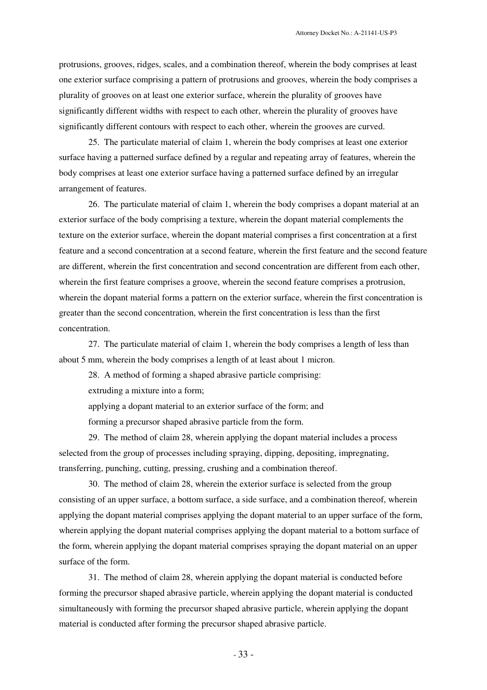protrusions, grooves, ridges, scales, and a combination thereof, wherein the body comprises at least one exterior surface comprising a pattern of protrusions and grooves, wherein the body comprises a plurality of grooves on at least one exterior surface, wherein the plurality of grooves have significantly different widths with respect to each other, wherein the plurality of grooves have significantly different contours with respect to each other, wherein the grooves are curved.

25. The particulate material of claim 1, wherein the body comprises at least one exterior surface having a patterned surface defined by a regular and repeating array of features, wherein the body comprises at least one exterior surface having a patterned surface defined by an irregular arrangement of features.

26. The particulate material of claim 1, wherein the body comprises a dopant material at an exterior surface of the body comprising a texture, wherein the dopant material complements the texture on the exterior surface, wherein the dopant material comprises a first concentration at a first feature and a second concentration at a second feature, wherein the first feature and the second feature are different, wherein the first concentration and second concentration are different from each other, wherein the first feature comprises a groove, wherein the second feature comprises a protrusion, wherein the dopant material forms a pattern on the exterior surface, wherein the first concentration is greater than the second concentration, wherein the first concentration is less than the first concentration.

27. The particulate material of claim 1, wherein the body comprises a length of less than about 5 mm, wherein the body comprises a length of at least about 1 micron.

28. A method of forming a shaped abrasive particle comprising:

extruding a mixture into a form;

applying a dopant material to an exterior surface of the form; and

forming a precursor shaped abrasive particle from the form.

29. The method of claim 28, wherein applying the dopant material includes a process selected from the group of processes including spraying, dipping, depositing, impregnating, transferring, punching, cutting, pressing, crushing and a combination thereof.

30. The method of claim 28, wherein the exterior surface is selected from the group consisting of an upper surface, a bottom surface, a side surface, and a combination thereof, wherein applying the dopant material comprises applying the dopant material to an upper surface of the form, wherein applying the dopant material comprises applying the dopant material to a bottom surface of the form, wherein applying the dopant material comprises spraying the dopant material on an upper surface of the form.

31. The method of claim 28, wherein applying the dopant material is conducted before forming the precursor shaped abrasive particle, wherein applying the dopant material is conducted simultaneously with forming the precursor shaped abrasive particle, wherein applying the dopant material is conducted after forming the precursor shaped abrasive particle.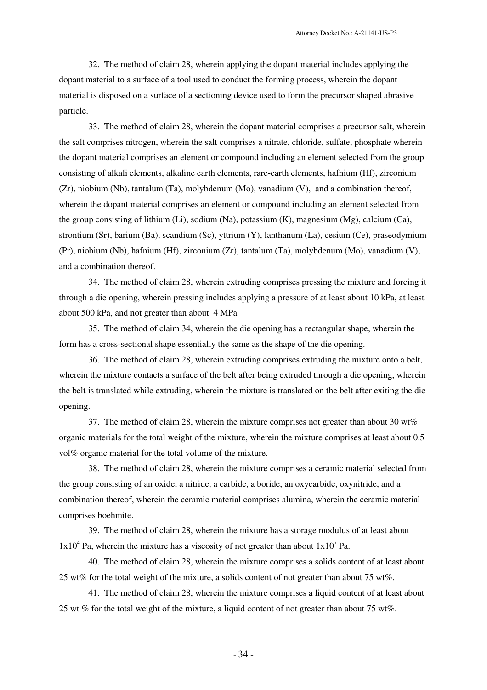32. The method of claim 28, wherein applying the dopant material includes applying the dopant material to a surface of a tool used to conduct the forming process, wherein the dopant material is disposed on a surface of a sectioning device used to form the precursor shaped abrasive particle.

33. The method of claim 28, wherein the dopant material comprises a precursor salt, wherein the salt comprises nitrogen, wherein the salt comprises a nitrate, chloride, sulfate, phosphate wherein the dopant material comprises an element or compound including an element selected from the group consisting of alkali elements, alkaline earth elements, rare-earth elements, hafnium (Hf), zirconium (Zr), niobium (Nb), tantalum (Ta), molybdenum (Mo), vanadium (V), and a combination thereof, wherein the dopant material comprises an element or compound including an element selected from the group consisting of lithium (Li), sodium (Na), potassium (K), magnesium (Mg), calcium (Ca), strontium (Sr), barium (Ba), scandium (Sc), yttrium (Y), lanthanum (La), cesium (Ce), praseodymium (Pr), niobium (Nb), hafnium (Hf), zirconium (Zr), tantalum (Ta), molybdenum (Mo), vanadium (V), and a combination thereof.

34. The method of claim 28, wherein extruding comprises pressing the mixture and forcing it through a die opening, wherein pressing includes applying a pressure of at least about 10 kPa, at least about 500 kPa, and not greater than about 4 MPa

35. The method of claim 34, wherein the die opening has a rectangular shape, wherein the form has a cross-sectional shape essentially the same as the shape of the die opening.

36. The method of claim 28, wherein extruding comprises extruding the mixture onto a belt, wherein the mixture contacts a surface of the belt after being extruded through a die opening, wherein the belt is translated while extruding, wherein the mixture is translated on the belt after exiting the die opening.

37. The method of claim 28, wherein the mixture comprises not greater than about 30 wt% organic materials for the total weight of the mixture, wherein the mixture comprises at least about 0.5 vol% organic material for the total volume of the mixture.

38. The method of claim 28, wherein the mixture comprises a ceramic material selected from the group consisting of an oxide, a nitride, a carbide, a boride, an oxycarbide, oxynitride, and a combination thereof, wherein the ceramic material comprises alumina, wherein the ceramic material comprises boehmite.

39. The method of claim 28, wherein the mixture has a storage modulus of at least about  $1x10^4$  Pa, wherein the mixture has a viscosity of not greater than about  $1x10^7$  Pa.

40. The method of claim 28, wherein the mixture comprises a solids content of at least about 25 wt% for the total weight of the mixture, a solids content of not greater than about 75 wt%.

41. The method of claim 28, wherein the mixture comprises a liquid content of at least about 25 wt % for the total weight of the mixture, a liquid content of not greater than about 75 wt%.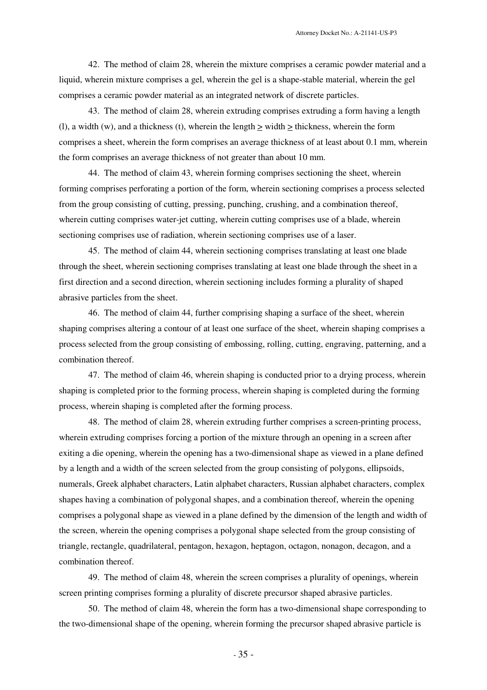42. The method of claim 28, wherein the mixture comprises a ceramic powder material and a liquid, wherein mixture comprises a gel, wherein the gel is a shape-stable material, wherein the gel comprises a ceramic powder material as an integrated network of discrete particles.

43. The method of claim 28, wherein extruding comprises extruding a form having a length (l), a width (w), and a thickness (t), wherein the length  $>$  width  $>$  thickness, wherein the form comprises a sheet, wherein the form comprises an average thickness of at least about 0.1 mm, wherein the form comprises an average thickness of not greater than about 10 mm.

44. The method of claim 43, wherein forming comprises sectioning the sheet, wherein forming comprises perforating a portion of the form, wherein sectioning comprises a process selected from the group consisting of cutting, pressing, punching, crushing, and a combination thereof, wherein cutting comprises water-jet cutting, wherein cutting comprises use of a blade, wherein sectioning comprises use of radiation, wherein sectioning comprises use of a laser.

45. The method of claim 44, wherein sectioning comprises translating at least one blade through the sheet, wherein sectioning comprises translating at least one blade through the sheet in a first direction and a second direction, wherein sectioning includes forming a plurality of shaped abrasive particles from the sheet.

46. The method of claim 44, further comprising shaping a surface of the sheet, wherein shaping comprises altering a contour of at least one surface of the sheet, wherein shaping comprises a process selected from the group consisting of embossing, rolling, cutting, engraving, patterning, and a combination thereof.

47. The method of claim 46, wherein shaping is conducted prior to a drying process, wherein shaping is completed prior to the forming process, wherein shaping is completed during the forming process, wherein shaping is completed after the forming process.

48. The method of claim 28, wherein extruding further comprises a screen-printing process, wherein extruding comprises forcing a portion of the mixture through an opening in a screen after exiting a die opening, wherein the opening has a two-dimensional shape as viewed in a plane defined by a length and a width of the screen selected from the group consisting of polygons, ellipsoids, numerals, Greek alphabet characters, Latin alphabet characters, Russian alphabet characters, complex shapes having a combination of polygonal shapes, and a combination thereof, wherein the opening comprises a polygonal shape as viewed in a plane defined by the dimension of the length and width of the screen, wherein the opening comprises a polygonal shape selected from the group consisting of triangle, rectangle, quadrilateral, pentagon, hexagon, heptagon, octagon, nonagon, decagon, and a combination thereof.

49. The method of claim 48, wherein the screen comprises a plurality of openings, wherein screen printing comprises forming a plurality of discrete precursor shaped abrasive particles.

50. The method of claim 48, wherein the form has a two-dimensional shape corresponding to the two-dimensional shape of the opening, wherein forming the precursor shaped abrasive particle is

- 35 -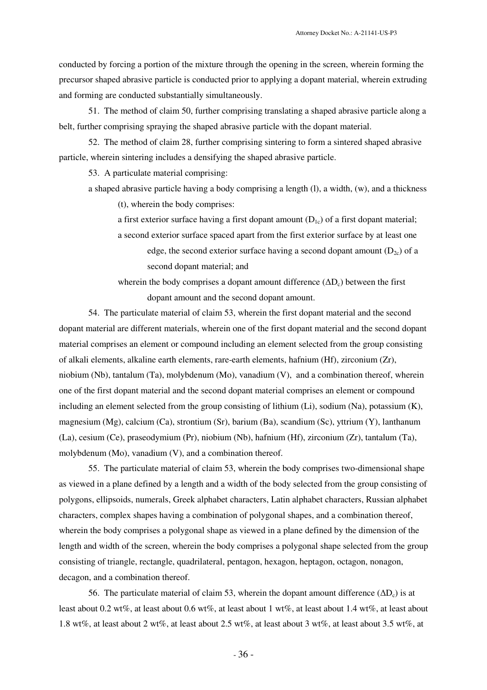conducted by forcing a portion of the mixture through the opening in the screen, wherein forming the precursor shaped abrasive particle is conducted prior to applying a dopant material, wherein extruding and forming are conducted substantially simultaneously.

51. The method of claim 50, further comprising translating a shaped abrasive particle along a belt, further comprising spraying the shaped abrasive particle with the dopant material.

52. The method of claim 28, further comprising sintering to form a sintered shaped abrasive particle, wherein sintering includes a densifying the shaped abrasive particle.

53. A particulate material comprising:

a shaped abrasive particle having a body comprising a length  $(l)$ , a width,  $(w)$ , and a thickness

(t), wherein the body comprises:

a first exterior surface having a first dopant amount  $(D_{1c})$  of a first dopant material;

a second exterior surface spaced apart from the first exterior surface by at least one edge, the second exterior surface having a second dopant amount  $(D_{2c})$  of a second dopant material; and

wherein the body comprises a dopant amount difference  $(\Delta D_c)$  between the first dopant amount and the second dopant amount.

54. The particulate material of claim 53, wherein the first dopant material and the second dopant material are different materials, wherein one of the first dopant material and the second dopant material comprises an element or compound including an element selected from the group consisting of alkali elements, alkaline earth elements, rare-earth elements, hafnium (Hf), zirconium (Zr), niobium (Nb), tantalum (Ta), molybdenum (Mo), vanadium (V), and a combination thereof, wherein one of the first dopant material and the second dopant material comprises an element or compound including an element selected from the group consisting of lithium (Li), sodium (Na), potassium (K), magnesium (Mg), calcium (Ca), strontium (Sr), barium (Ba), scandium (Sc), yttrium (Y), lanthanum (La), cesium (Ce), praseodymium (Pr), niobium (Nb), hafnium (Hf), zirconium (Zr), tantalum (Ta), molybdenum (Mo), vanadium (V), and a combination thereof.

55. The particulate material of claim 53, wherein the body comprises two-dimensional shape as viewed in a plane defined by a length and a width of the body selected from the group consisting of polygons, ellipsoids, numerals, Greek alphabet characters, Latin alphabet characters, Russian alphabet characters, complex shapes having a combination of polygonal shapes, and a combination thereof, wherein the body comprises a polygonal shape as viewed in a plane defined by the dimension of the length and width of the screen, wherein the body comprises a polygonal shape selected from the group consisting of triangle, rectangle, quadrilateral, pentagon, hexagon, heptagon, octagon, nonagon, decagon, and a combination thereof.

56. The particulate material of claim 53, wherein the dopant amount difference  $(\Delta D_c)$  is at least about 0.2 wt%, at least about 0.6 wt%, at least about 1 wt%, at least about 1.4 wt%, at least about 1.8 wt%, at least about 2 wt%, at least about 2.5 wt%, at least about 3 wt%, at least about 3.5 wt%, at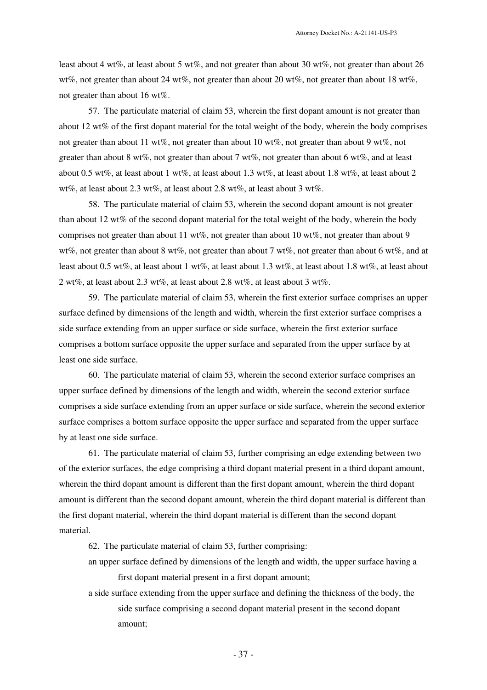least about 4 wt%, at least about 5 wt%, and not greater than about 30 wt%, not greater than about 26 wt%, not greater than about 24 wt%, not greater than about 20 wt%, not greater than about 18 wt%, not greater than about 16 wt%.

57. The particulate material of claim 53, wherein the first dopant amount is not greater than about 12 wt% of the first dopant material for the total weight of the body, wherein the body comprises not greater than about 11 wt%, not greater than about 10 wt%, not greater than about 9 wt%, not greater than about 8 wt%, not greater than about 7 wt%, not greater than about 6 wt%, and at least about 0.5 wt%, at least about 1 wt%, at least about 1.3 wt%, at least about 1.8 wt%, at least about 2 wt%, at least about 2.3 wt%, at least about 2.8 wt%, at least about 3 wt%.

58. The particulate material of claim 53, wherein the second dopant amount is not greater than about 12 wt% of the second dopant material for the total weight of the body, wherein the body comprises not greater than about 11 wt%, not greater than about 10 wt%, not greater than about 9 wt%, not greater than about 8 wt%, not greater than about 7 wt%, not greater than about 6 wt%, and at least about 0.5 wt%, at least about 1 wt%, at least about 1.3 wt%, at least about 1.8 wt%, at least about 2 wt%, at least about 2.3 wt%, at least about 2.8 wt%, at least about 3 wt%.

59. The particulate material of claim 53, wherein the first exterior surface comprises an upper surface defined by dimensions of the length and width, wherein the first exterior surface comprises a side surface extending from an upper surface or side surface, wherein the first exterior surface comprises a bottom surface opposite the upper surface and separated from the upper surface by at least one side surface.

60. The particulate material of claim 53, wherein the second exterior surface comprises an upper surface defined by dimensions of the length and width, wherein the second exterior surface comprises a side surface extending from an upper surface or side surface, wherein the second exterior surface comprises a bottom surface opposite the upper surface and separated from the upper surface by at least one side surface.

61. The particulate material of claim 53, further comprising an edge extending between two of the exterior surfaces, the edge comprising a third dopant material present in a third dopant amount, wherein the third dopant amount is different than the first dopant amount, wherein the third dopant amount is different than the second dopant amount, wherein the third dopant material is different than the first dopant material, wherein the third dopant material is different than the second dopant material.

62. The particulate material of claim 53, further comprising:

- an upper surface defined by dimensions of the length and width, the upper surface having a first dopant material present in a first dopant amount;
- a side surface extending from the upper surface and defining the thickness of the body, the side surface comprising a second dopant material present in the second dopant amount;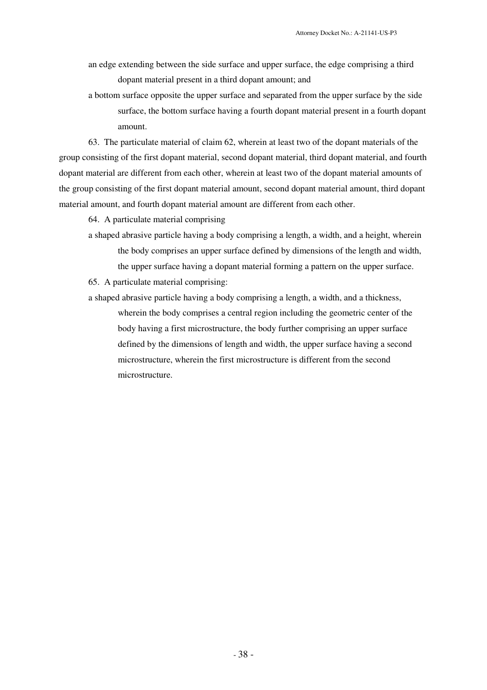- an edge extending between the side surface and upper surface, the edge comprising a third dopant material present in a third dopant amount; and
- a bottom surface opposite the upper surface and separated from the upper surface by the side surface, the bottom surface having a fourth dopant material present in a fourth dopant amount.

63. The particulate material of claim 62, wherein at least two of the dopant materials of the group consisting of the first dopant material, second dopant material, third dopant material, and fourth dopant material are different from each other, wherein at least two of the dopant material amounts of the group consisting of the first dopant material amount, second dopant material amount, third dopant material amount, and fourth dopant material amount are different from each other.

64. A particulate material comprising

a shaped abrasive particle having a body comprising a length, a width, and a height, wherein the body comprises an upper surface defined by dimensions of the length and width, the upper surface having a dopant material forming a pattern on the upper surface.

65. A particulate material comprising:

a shaped abrasive particle having a body comprising a length, a width, and a thickness, wherein the body comprises a central region including the geometric center of the body having a first microstructure, the body further comprising an upper surface defined by the dimensions of length and width, the upper surface having a second microstructure, wherein the first microstructure is different from the second microstructure.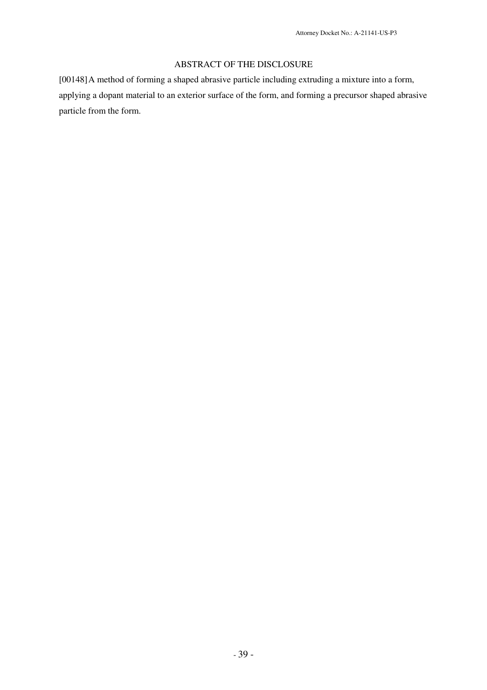## ABSTRACT OF THE DISCLOSURE

[00148]A method of forming a shaped abrasive particle including extruding a mixture into a form, applying a dopant material to an exterior surface of the form, and forming a precursor shaped abrasive particle from the form.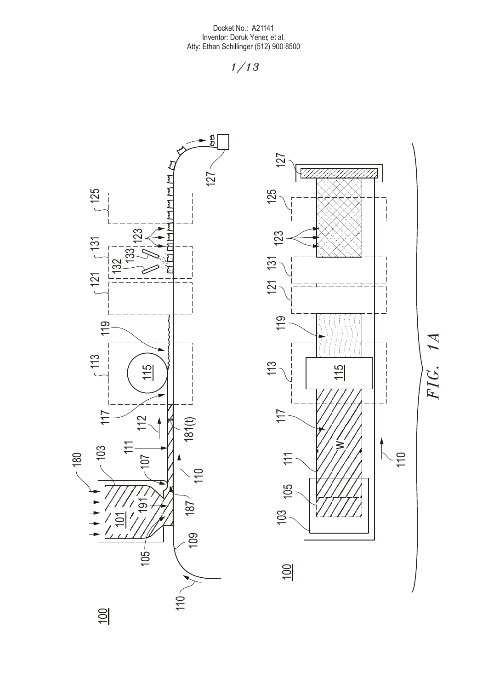



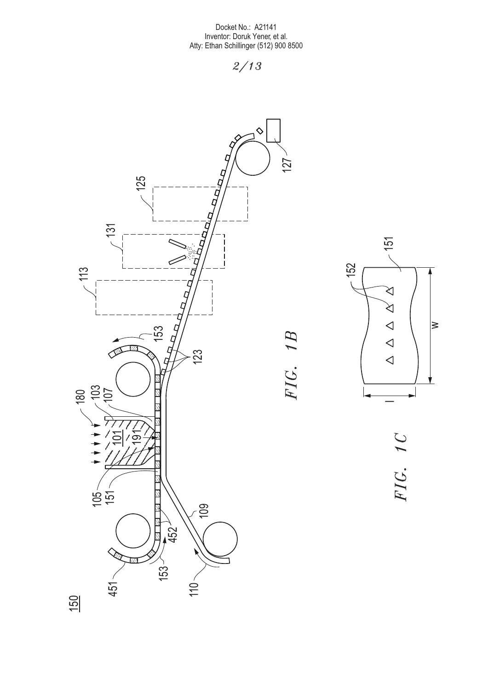*2/13*

*FIG. 1B*

FIG. 1B





FIG. 1C *FIG. 1C*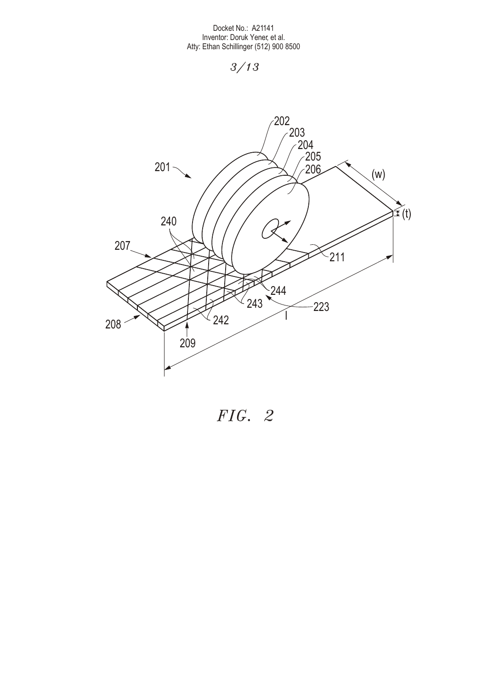

*FIG. 2*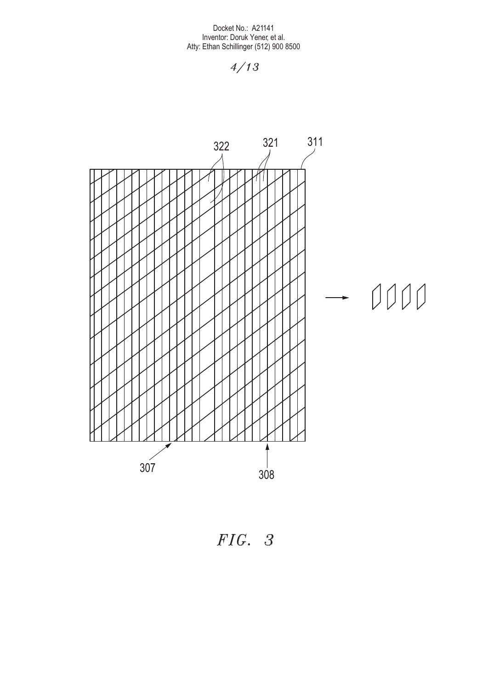

*FIG. 3*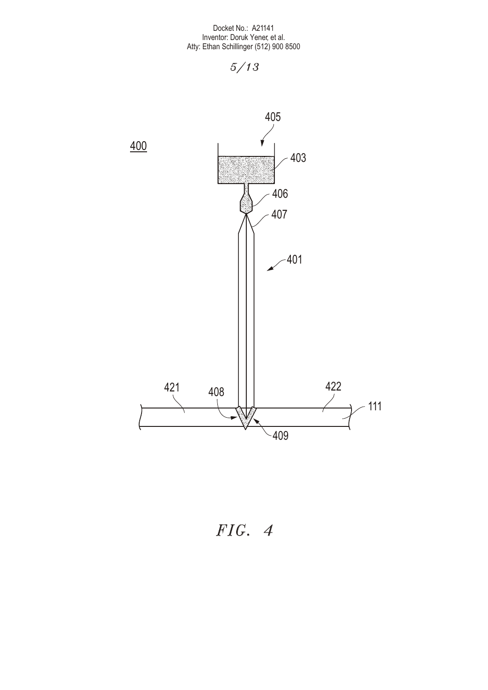

*FIG. 4*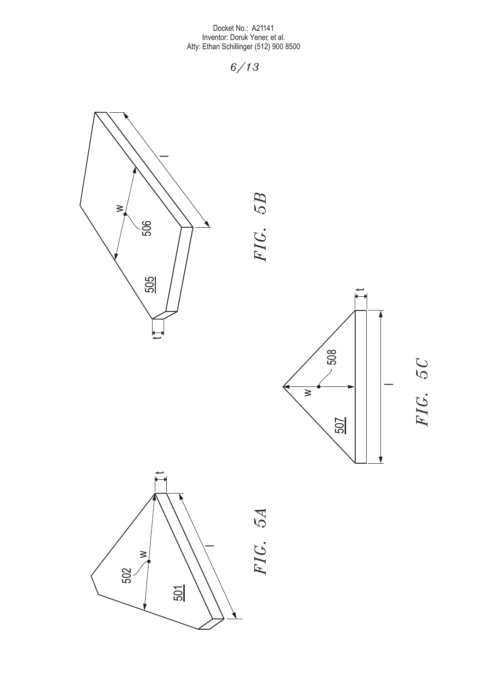











*FIG. 5A*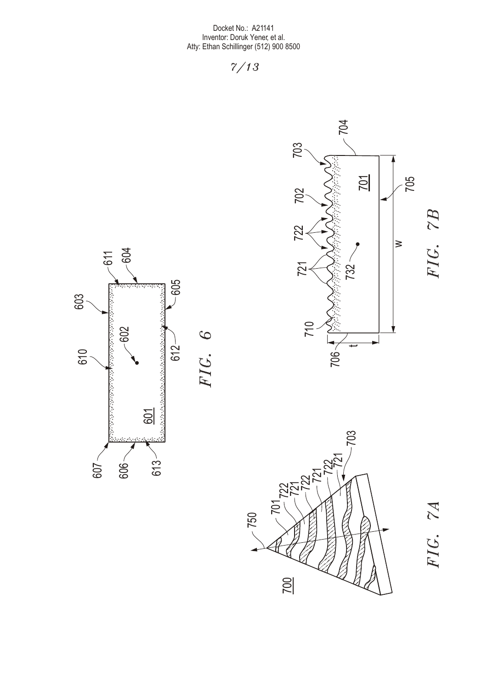

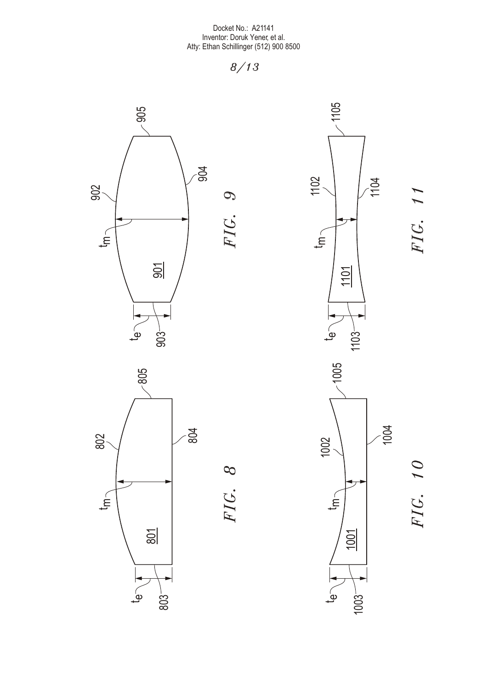

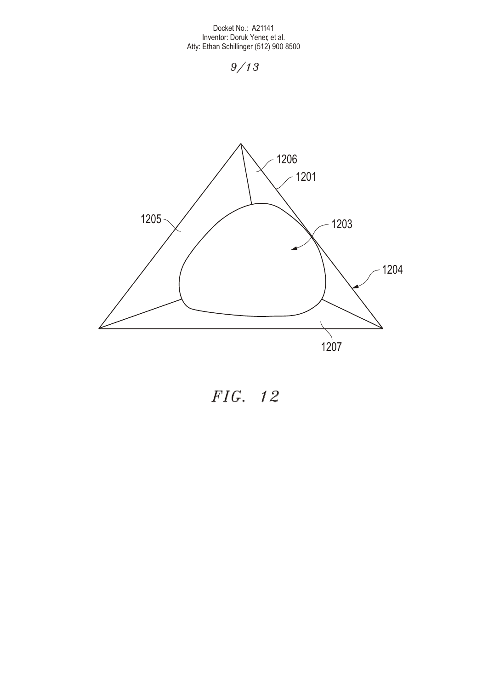

*FIG. 12*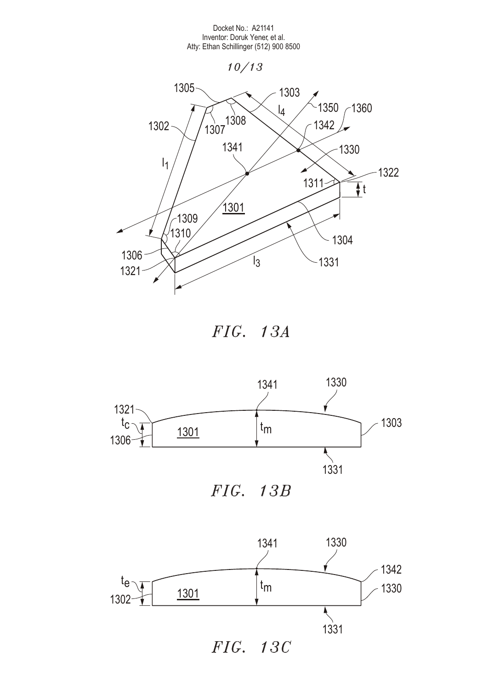



*FIG. 13A*



*FIG. 13B*



*FIG. 13C*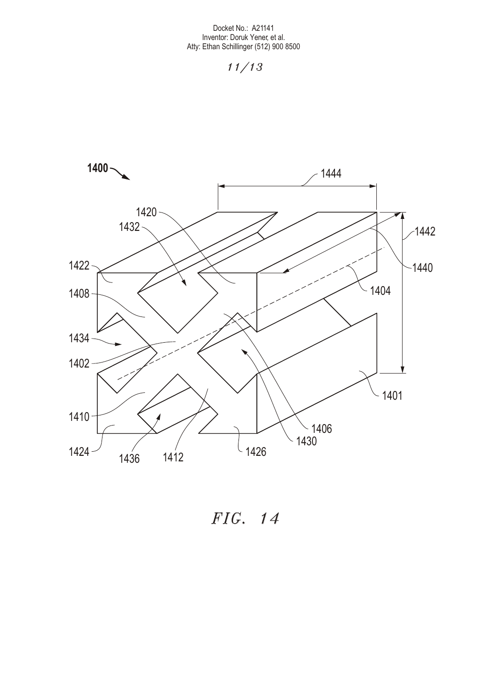

*FIG. 14*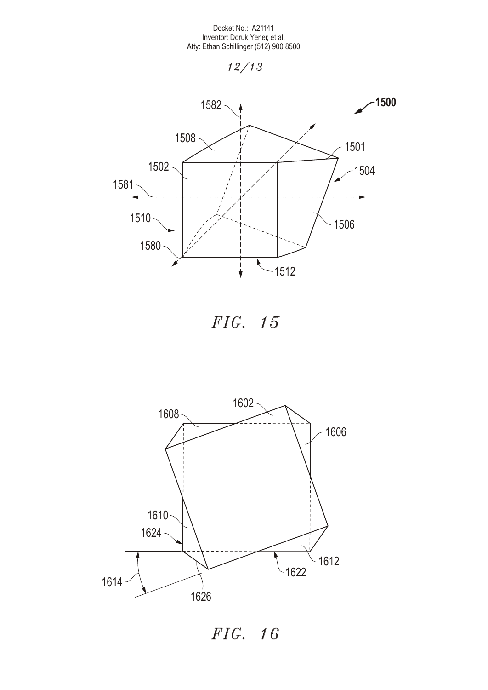







*FIG. 16*